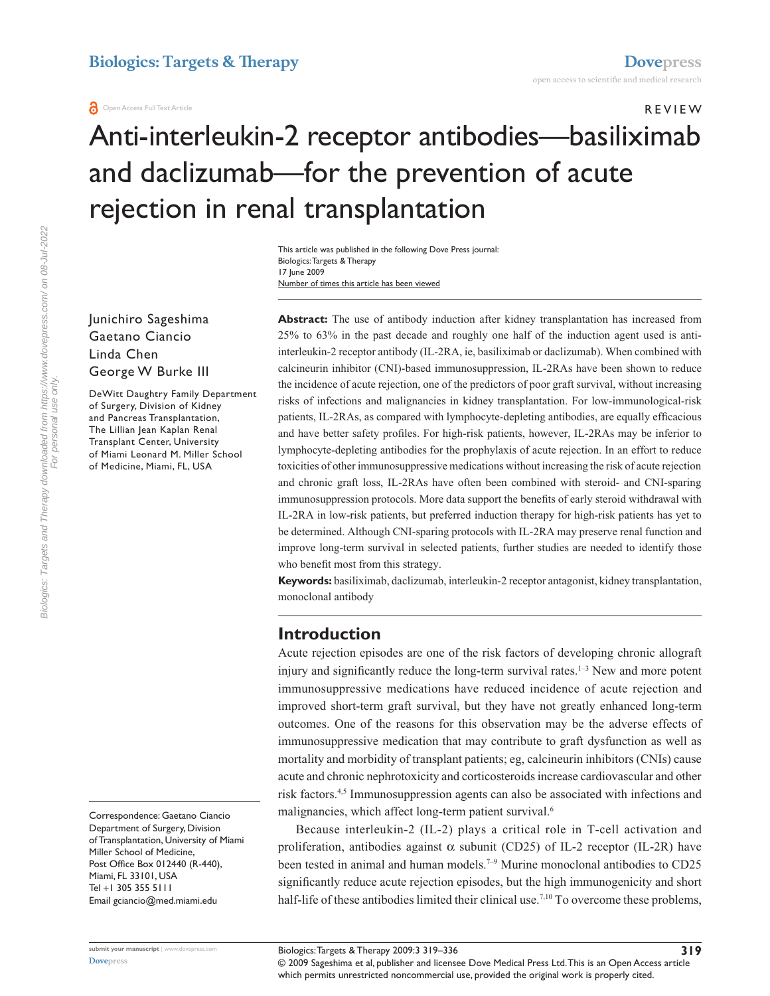# r e v i e w Anti-interleukin-2 receptor antibodies—basiliximab and daclizumab—for the prevention of acute rejection in renal transplantation

Number of times this article has been viewed This article was published in the following Dove Press journal: Biologics: Targets & Therapy 17 June 2009

Junichiro Sageshima Gaetano Ciancio Linda Chen George W Burke III

DeWitt Daughtry Family Department of Surgery, Division of Kidney and Pancreas Transplantation, The Lillian Jean Kaplan Renal Transplant Center, University of Miami Leonard M. Miller School of Medicine, Miami, FL, USA

Correspondence: Gaetano Ciancio Department of Surgery, Division of Transplantation, University of Miami Miller School of Medicine, Post Office Box 012440 (R-440), Miami, FL 33101, USA Tel +1 305 355 5111 Email gciancio@med.miami.edu

**Abstract:** The use of antibody induction after kidney transplantation has increased from 25% to 63% in the past decade and roughly one half of the induction agent used is antiinterleukin-2 receptor antibody (IL-2RA, ie, basiliximab or daclizumab). When combined with calcineurin inhibitor (CNI)-based immunosuppression, IL-2RAs have been shown to reduce the incidence of acute rejection, one of the predictors of poor graft survival, without increasing risks of infections and malignancies in kidney transplantation. For low-immunological-risk patients, IL-2RAs, as compared with lymphocyte-depleting antibodies, are equally efficacious and have better safety profiles. For high-risk patients, however, IL-2RAs may be inferior to lymphocyte-depleting antibodies for the prophylaxis of acute rejection. In an effort to reduce toxicities of other immunosuppressive medications without increasing the risk of acute rejection and chronic graft loss, IL-2RAs have often been combined with steroid- and CNI-sparing immunosuppression protocols. More data support the benefits of early steroid withdrawal with IL-2RA in low-risk patients, but preferred induction therapy for high-risk patients has yet to be determined. Although CNI-sparing protocols with IL-2RA may preserve renal function and improve long-term survival in selected patients, further studies are needed to identify those who benefit most from this strategy.

**Keywords:** basiliximab, daclizumab, interleukin-2 receptor antagonist, kidney transplantation, monoclonal antibody

# **Introduction**

Acute rejection episodes are one of the risk factors of developing chronic allograft injury and significantly reduce the long-term survival rates.<sup>1-3</sup> New and more potent immunosuppressive medications have reduced incidence of acute rejection and improved short-term graft survival, but they have not greatly enhanced long-term outcomes. One of the reasons for this observation may be the adverse effects of immunosuppressive medication that may contribute to graft dysfunction as well as mortality and morbidity of transplant patients; eg, calcineurin inhibitors (CNIs) cause acute and chronic nephrotoxicity and corticosteroids increase cardiovascular and other risk factors.4,5 Immunosuppression agents can also be associated with infections and malignancies, which affect long-term patient survival.<sup>6</sup>

Because interleukin-2 (IL-2) plays a critical role in T-cell activation and proliferation, antibodies against  $\alpha$  subunit (CD25) of IL-2 receptor (IL-2R) have been tested in animal and human models.<sup>7-9</sup> Murine monoclonal antibodies to CD25 significantly reduce acute rejection episodes, but the high immunogenicity and short half-life of these antibodies limited their clinical use.<sup>7,10</sup> To overcome these problems,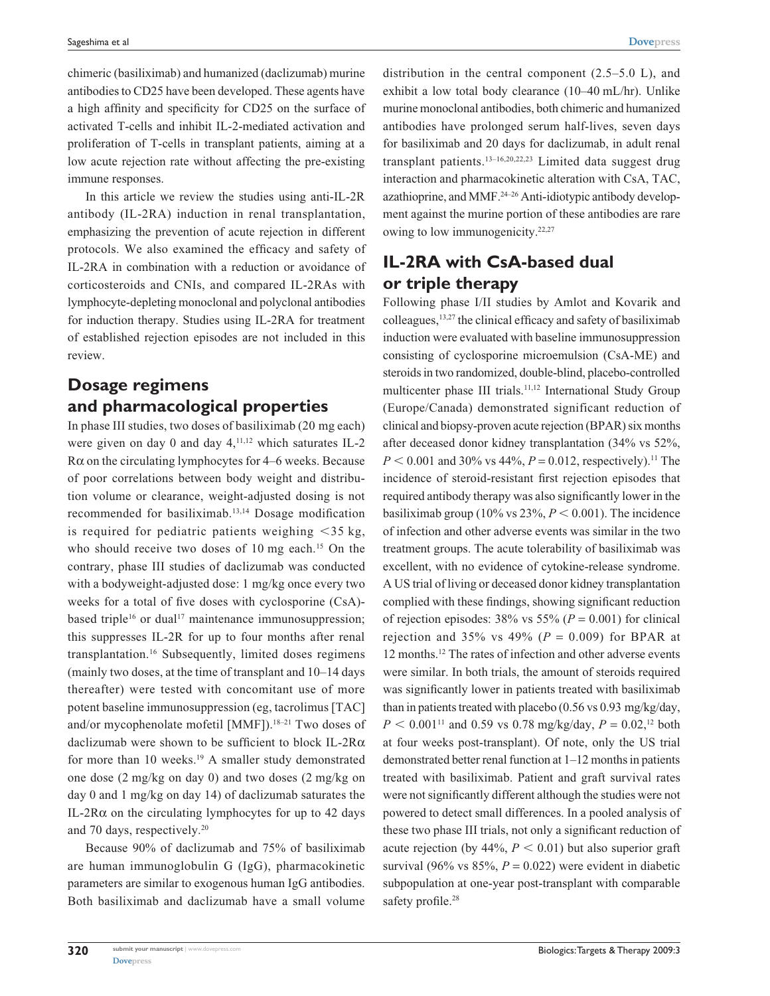chimeric (basiliximab) and humanized (daclizumab) murine antibodies to CD25 have been developed. These agents have a high affinity and specificity for CD25 on the surface of activated T-cells and inhibit IL-2-mediated activation and proliferation of T-cells in transplant patients, aiming at a low acute rejection rate without affecting the pre-existing immune responses.

In this article we review the studies using anti-IL-2R antibody (IL-2RA) induction in renal transplantation, emphasizing the prevention of acute rejection in different protocols. We also examined the efficacy and safety of IL-2RA in combination with a reduction or avoidance of corticosteroids and CNIs, and compared IL-2RAs with lymphocyte-depleting monoclonal and polyclonal antibodies for induction therapy. Studies using IL-2RA for treatment of established rejection episodes are not included in this review.

# **Dosage regimens and pharmacological properties**

In phase III studies, two doses of basiliximab (20 mg each) were given on day 0 and day  $4,^{11,12}$  which saturates IL-2 R $\alpha$  on the circulating lymphocytes for 4–6 weeks. Because of poor correlations between body weight and distribution volume or clearance, weight-adjusted dosing is not recommended for basiliximab.13,14 Dosage modification is required for pediatric patients weighing  $\langle 35 \text{ kg},$ who should receive two doses of 10 mg each.<sup>15</sup> On the contrary, phase III studies of daclizumab was conducted with a bodyweight-adjusted dose: 1 mg/kg once every two weeks for a total of five doses with cyclosporine (CsA) based triple<sup>16</sup> or dual<sup>17</sup> maintenance immunosuppression; this suppresses IL-2R for up to four months after renal transplantation.16 Subsequently, limited doses regimens (mainly two doses, at the time of transplant and 10–14 days thereafter) were tested with concomitant use of more potent baseline immunosuppression (eg, tacrolimus [TAC] and/or mycophenolate mofetil [MMF]).<sup>18-21</sup> Two doses of daclizumab were shown to be sufficient to block IL-2Rα for more than 10 weeks.<sup>19</sup> A smaller study demonstrated one dose (2 mg/kg on day 0) and two doses (2 mg/kg on day 0 and 1 mg/kg on day 14) of daclizumab saturates the IL-2R $\alpha$  on the circulating lymphocytes for up to 42 days and 70 days, respectively.20

Because 90% of daclizumab and 75% of basiliximab are human immunoglobulin G (IgG), pharmacokinetic parameters are similar to exogenous human IgG antibodies. Both basiliximab and daclizumab have a small volume distribution in the central component (2.5–5.0 L), and exhibit a low total body clearance (10–40 mL/hr). Unlike murine monoclonal antibodies, both chimeric and humanized antibodies have prolonged serum half-lives, seven days for basiliximab and 20 days for daclizumab, in adult renal transplant patients.13–16,20,22,23 Limited data suggest drug interaction and pharmacokinetic alteration with CsA, TAC, azathioprine, and MMF.<sup>24–26</sup> Anti-idiotypic antibody development against the murine portion of these antibodies are rare owing to low immunogenicity.<sup>22,27</sup>

# **IL-2RA with CsA-based dual or triple therapy**

Following phase I/II studies by Amlot and Kovarik and colleagues,13,27 the clinical efficacy and safety of basiliximab induction were evaluated with baseline immunosuppression consisting of cyclosporine microemulsion (CsA-ME) and steroids in two randomized, double-blind, placebo-controlled multicenter phase III trials.<sup>11,12</sup> International Study Group (Europe/Canada) demonstrated significant reduction of clinical and biopsy-proven acute rejection (BPAR) six months after deceased donor kidney transplantation (34% vs 52%,  $P < 0.001$  and 30% vs 44%,  $P = 0.012$ , respectively).<sup>11</sup> The incidence of steroid-resistant first rejection episodes that required antibody therapy was also significantly lower in the basiliximab group (10% vs  $23\%$ ,  $P < 0.001$ ). The incidence of infection and other adverse events was similar in the two treatment groups. The acute tolerability of basiliximab was excellent, with no evidence of cytokine-release syndrome. A US trial of living or deceased donor kidney transplantation complied with these findings, showing significant reduction of rejection episodes:  $38\%$  vs  $55\%$  ( $P = 0.001$ ) for clinical rejection and 35% vs  $49\%$  ( $P = 0.009$ ) for BPAR at 12 months.12 The rates of infection and other adverse events were similar. In both trials, the amount of steroids required was significantly lower in patients treated with basiliximab than in patients treated with placebo (0.56 vs 0.93 mg/kg/day,  $P < 0.001$ <sup>11</sup> and 0.59 vs 0.78 mg/kg/day,  $P = 0.02$ ,<sup>12</sup> both at four weeks post-transplant). Of note, only the US trial demonstrated better renal function at 1–12 months in patients treated with basiliximab. Patient and graft survival rates were not significantly different although the studies were not powered to detect small differences. In a pooled analysis of these two phase III trials, not only a significant reduction of acute rejection (by  $44\%, P < 0.01$ ) but also superior graft survival (96% vs  $85\%$ ,  $P = 0.022$ ) were evident in diabetic subpopulation at one-year post-transplant with comparable safety profile.<sup>28</sup>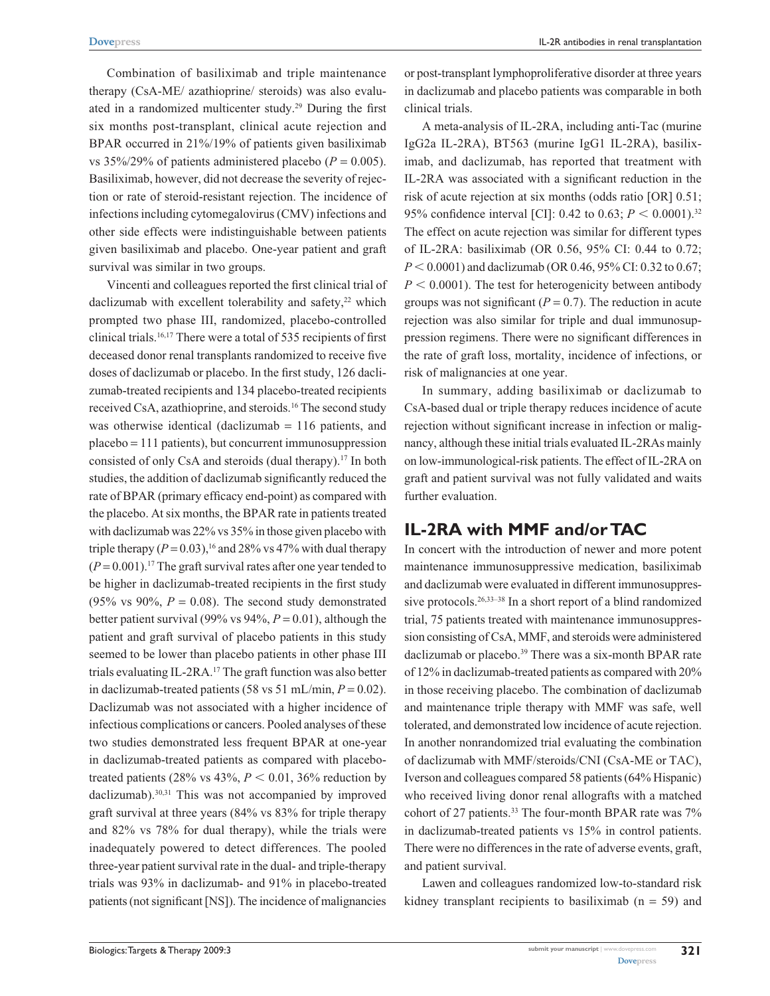Combination of basiliximab and triple maintenance therapy (CsA-ME/ azathioprine/ steroids) was also evaluated in a randomized multicenter study.<sup>29</sup> During the first six months post-transplant, clinical acute rejection and BPAR occurred in 21%/19% of patients given basiliximab vs  $35\%/29\%$  of patients administered placebo ( $P = 0.005$ ). Basiliximab, however, did not decrease the severity of rejection or rate of steroid-resistant rejection. The incidence of infections including cytomegalovirus (CMV) infections and other side effects were indistinguishable between patients given basiliximab and placebo. One-year patient and graft survival was similar in two groups.

Vincenti and colleagues reported the first clinical trial of daclizumab with excellent tolerability and safety, $22$  which prompted two phase III, randomized, placebo-controlled clinical trials.16,17 There were a total of 535 recipients of first deceased donor renal transplants randomized to receive five doses of daclizumab or placebo. In the first study, 126 daclizumab-treated recipients and 134 placebo-treated recipients received CsA, azathioprine, and steroids.16 The second study was otherwise identical (daclizumab  $= 116$  patients, and placebo = 111 patients), but concurrent immunosuppression consisted of only CsA and steroids (dual therapy).17 In both studies, the addition of daclizumab significantly reduced the rate of BPAR (primary efficacy end-point) as compared with the placebo. At six months, the BPAR rate in patients treated with daclizumab was 22% vs 35% in those given placebo with triple therapy  $(P = 0.03)$ , <sup>16</sup> and 28% vs 47% with dual therapy  $(P = 0.001)$ .<sup>17</sup> The graft survival rates after one year tended to be higher in daclizumab-treated recipients in the first study (95% vs 90%,  $P = 0.08$ ). The second study demonstrated better patient survival (99% vs 94%,  $P = 0.01$ ), although the patient and graft survival of placebo patients in this study seemed to be lower than placebo patients in other phase III trials evaluating IL-2RA.17 The graft function was also better in daclizumab-treated patients (58 vs 51 mL/min,  $P = 0.02$ ). Daclizumab was not associated with a higher incidence of infectious complications or cancers. Pooled analyses of these two studies demonstrated less frequent BPAR at one-year in daclizumab-treated patients as compared with placebotreated patients  $(28\% \text{ vs } 43\%, P < 0.01, 36\% \text{ reduction by})$ daclizumab).30,31 This was not accompanied by improved graft survival at three years (84% vs 83% for triple therapy and 82% vs 78% for dual therapy), while the trials were inadequately powered to detect differences. The pooled three-year patient survival rate in the dual- and triple-therapy trials was 93% in daclizumab- and 91% in placebo-treated patients (not significant [NS]). The incidence of malignancies

or post-transplant lymphoproliferative disorder at three years in daclizumab and placebo patients was comparable in both clinical trials.

A meta-analysis of IL-2RA, including anti-Tac (murine IgG2a IL-2RA), BT563 (murine IgG1 IL-2RA), basiliximab, and daclizumab, has reported that treatment with IL-2RA was associated with a significant reduction in the risk of acute rejection at six months (odds ratio [OR] 0.51; 95% confidence interval [CI]: 0.42 to 0.63;  $P < 0.0001$ .<sup>32</sup> The effect on acute rejection was similar for different types of IL-2RA: basiliximab (OR 0.56, 95% CI: 0.44 to 0.72;  $P < 0.0001$ ) and daclizumab (OR 0.46, 95% CI: 0.32 to 0.67;  $P < 0.0001$ ). The test for heterogenicity between antibody groups was not significant  $(P = 0.7)$ . The reduction in acute rejection was also similar for triple and dual immunosuppression regimens. There were no significant differences in the rate of graft loss, mortality, incidence of infections, or risk of malignancies at one year.

In summary, adding basiliximab or daclizumab to CsA-based dual or triple therapy reduces incidence of acute rejection without significant increase in infection or malignancy, although these initial trials evaluated IL-2RAs mainly on low-immunological-risk patients. The effect of IL-2RA on graft and patient survival was not fully validated and waits further evaluation.

#### **IL-2RA with MMF and/or TAC**

In concert with the introduction of newer and more potent maintenance immunosuppressive medication, basiliximab and daclizumab were evaluated in different immunosuppressive protocols.<sup>26,33–38</sup> In a short report of a blind randomized trial, 75 patients treated with maintenance immunosuppression consisting of CsA, MMF, and steroids were administered daclizumab or placebo.<sup>39</sup> There was a six-month BPAR rate of 12% in daclizumab-treated patients as compared with 20% in those receiving placebo. The combination of daclizumab and maintenance triple therapy with MMF was safe, well tolerated, and demonstrated low incidence of acute rejection. In another nonrandomized trial evaluating the combination of daclizumab with MMF/steroids/CNI (CsA-ME or TAC), Iverson and colleagues compared 58 patients (64% Hispanic) who received living donor renal allografts with a matched cohort of 27 patients.<sup>33</sup> The four-month BPAR rate was  $7\%$ in daclizumab-treated patients vs 15% in control patients. There were no differences in the rate of adverse events, graft, and patient survival.

Lawen and colleagues randomized low-to-standard risk kidney transplant recipients to basiliximab  $(n = 59)$  and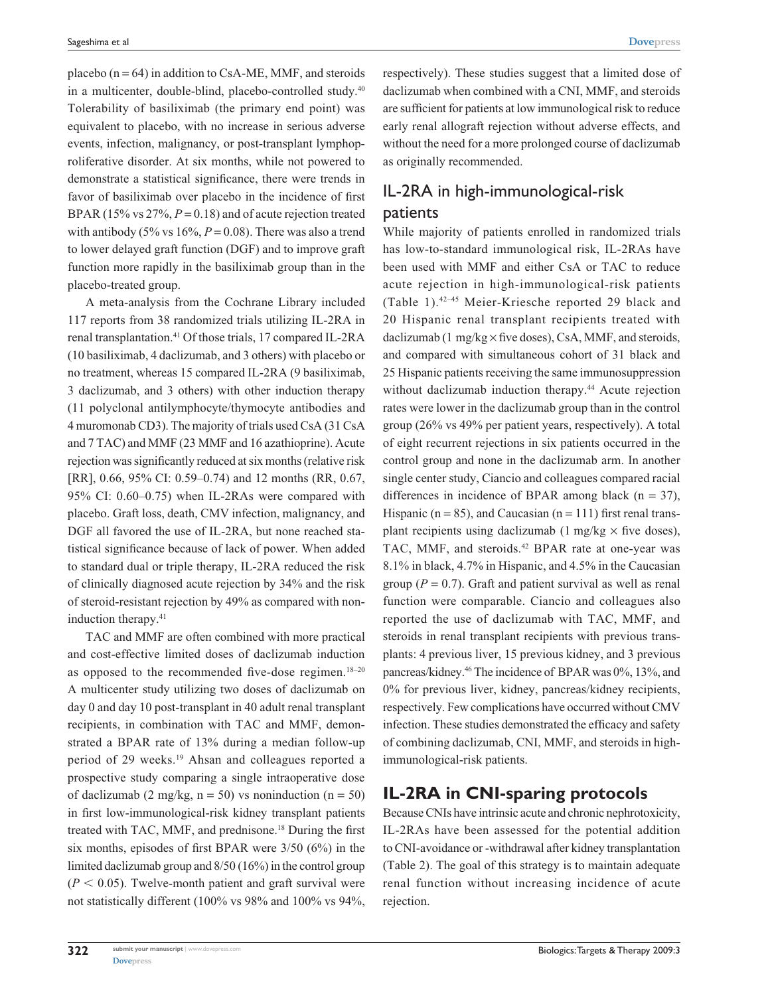placebo  $(n = 64)$  in addition to CsA-ME, MMF, and steroids in a multicenter, double-blind, placebo-controlled study.<sup>40</sup> Tolerability of basiliximab (the primary end point) was equivalent to placebo, with no increase in serious adverse events, infection, malignancy, or post-transplant lymphoproliferative disorder. At six months, while not powered to demonstrate a statistical significance, there were trends in favor of basiliximab over placebo in the incidence of first BPAR (15% vs 27%, *P* = 0.18) and of acute rejection treated with antibody (5% vs  $16\%, P = 0.08$ ). There was also a trend to lower delayed graft function (DGF) and to improve graft function more rapidly in the basiliximab group than in the placebo-treated group.

A meta-analysis from the Cochrane Library included 117 reports from 38 randomized trials utilizing IL-2RA in renal transplantation.41 Of those trials, 17 compared IL-2RA (10 basiliximab, 4 daclizumab, and 3 others) with placebo or no treatment, whereas 15 compared IL-2RA (9 basiliximab, 3 daclizumab, and 3 others) with other induction therapy (11 polyclonal antilymphocyte/thymocyte antibodies and 4 muromonab CD3). The majority of trials used CsA (31 CsA and 7 TAC) and MMF (23 MMF and 16 azathioprine). Acute rejection was significantly reduced at six months (relative risk [RR], 0.66, 95% CI: 0.59–0.74) and 12 months (RR, 0.67, 95% CI: 0.60–0.75) when IL-2RAs were compared with placebo. Graft loss, death, CMV infection, malignancy, and DGF all favored the use of IL-2RA, but none reached statistical significance because of lack of power. When added to standard dual or triple therapy, IL-2RA reduced the risk of clinically diagnosed acute rejection by 34% and the risk of steroid-resistant rejection by 49% as compared with noninduction therapy.41

TAC and MMF are often combined with more practical and cost-effective limited doses of daclizumab induction as opposed to the recommended five-dose regimen. $18-20$ A multicenter study utilizing two doses of daclizumab on day 0 and day 10 post-transplant in 40 adult renal transplant recipients, in combination with TAC and MMF, demonstrated a BPAR rate of 13% during a median follow-up period of 29 weeks.<sup>19</sup> Ahsan and colleagues reported a prospective study comparing a single intraoperative dose of daclizumab (2 mg/kg,  $n = 50$ ) vs noninduction ( $n = 50$ ) in first low-immunological-risk kidney transplant patients treated with TAC, MMF, and prednisone.18 During the first six months, episodes of first BPAR were 3/50 (6%) in the limited daclizumab group and 8/50 (16%) in the control group  $(P < 0.05)$ . Twelve-month patient and graft survival were not statistically different (100% vs 98% and 100% vs 94%,

respectively). These studies suggest that a limited dose of daclizumab when combined with a CNI, MMF, and steroids are sufficient for patients at low immunological risk to reduce early renal allograft rejection without adverse effects, and without the need for a more prolonged course of daclizumab as originally recommended.

# IL-2RA in high-immunological-risk patients

While majority of patients enrolled in randomized trials has low-to-standard immunological risk, IL-2RAs have been used with MMF and either CsA or TAC to reduce acute rejection in high-immunological-risk patients (Table 1).42–45 Meier-Kriesche reported 29 black and 20 Hispanic renal transplant recipients treated with daclizumab (1 mg/kg × five doses), CsA, MMF, and steroids, and compared with simultaneous cohort of 31 black and 25 Hispanic patients receiving the same immunosuppression without daclizumab induction therapy.<sup>44</sup> Acute rejection rates were lower in the daclizumab group than in the control group (26% vs 49% per patient years, respectively). A total of eight recurrent rejections in six patients occurred in the control group and none in the daclizumab arm. In another single center study, Ciancio and colleagues compared racial differences in incidence of BPAR among black ( $n = 37$ ), Hispanic ( $n = 85$ ), and Caucasian ( $n = 111$ ) first renal transplant recipients using daclizumab (1 mg/kg  $\times$  five doses), TAC, MMF, and steroids.<sup>42</sup> BPAR rate at one-year was 8.1% in black, 4.7% in Hispanic, and 4.5% in the Caucasian group ( $P = 0.7$ ). Graft and patient survival as well as renal function were comparable. Ciancio and colleagues also reported the use of daclizumab with TAC, MMF, and steroids in renal transplant recipients with previous transplants: 4 previous liver, 15 previous kidney, and 3 previous pancreas/kidney.46 The incidence of BPAR was 0%, 13%, and 0% for previous liver, kidney, pancreas/kidney recipients, respectively. Few complications have occurred without CMV infection. These studies demonstrated the efficacy and safety of combining daclizumab, CNI, MMF, and steroids in highimmunological-risk patients.

## **IL-2RA in CNI-sparing protocols**

Because CNIs have intrinsic acute and chronic nephrotoxicity, IL-2RAs have been assessed for the potential addition to CNI-avoidance or -withdrawal after kidney transplantation (Table 2). The goal of this strategy is to maintain adequate renal function without increasing incidence of acute rejection.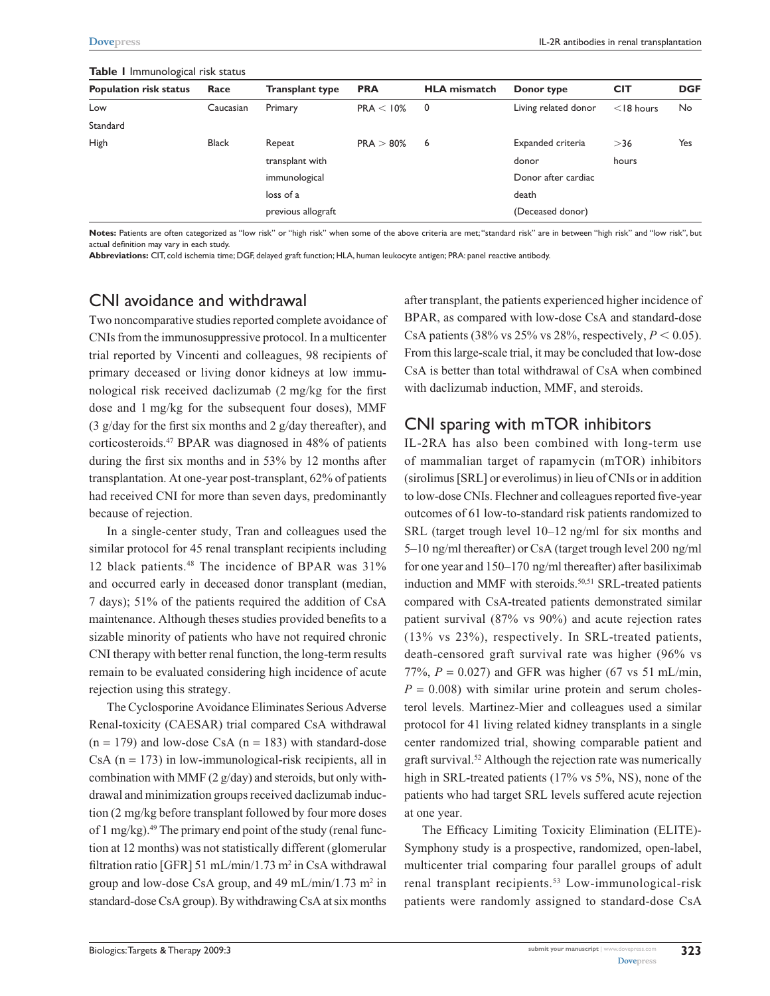| <b>Population risk status</b> | Race         | <b>Transplant type</b> | <b>PRA</b>   | <b>HLA</b> mismatch | Donor type           | <b>CIT</b>   | <b>DGF</b> |
|-------------------------------|--------------|------------------------|--------------|---------------------|----------------------|--------------|------------|
| Low                           | Caucasian    | Primary                | PRA < 10%    | 0                   | Living related donor | $<$ 18 hours | No         |
| Standard                      |              |                        |              |                     |                      |              |            |
| <b>High</b>                   | <b>Black</b> | Repeat                 | $PRA > 80\%$ | 6                   | Expanded criteria    | >36          | Yes        |
|                               |              | transplant with        |              |                     | donor                | hours        |            |
|                               |              | immunological          |              |                     | Donor after cardiac  |              |            |
|                               |              | loss of a              |              |                     | death                |              |            |
|                               |              | previous allograft     |              |                     | (Deceased donor)     |              |            |

#### **Table 1** Immunological risk status

**Notes:** Patients are often categorized as "low risk" or "high risk" when some of the above criteria are met; "standard risk" are in between "high risk" and "low risk", but actual definition may vary in each study.

**Abbreviations:** CIT, cold ischemia time; DGF, delayed graft function; HLA, human leukocyte antigen; PRA: panel reactive antibody.

## CNI avoidance and withdrawal

Two noncomparative studies reported complete avoidance of CNIs from the immunosuppressive protocol. In a multicenter trial reported by Vincenti and colleagues, 98 recipients of primary deceased or living donor kidneys at low immunological risk received daclizumab (2 mg/kg for the first dose and 1 mg/kg for the subsequent four doses), MMF (3  $g$ /day for the first six months and 2  $g$ /day thereafter), and corticosteroids.47 BPAR was diagnosed in 48% of patients during the first six months and in 53% by 12 months after transplantation. At one-year post-transplant, 62% of patients had received CNI for more than seven days, predominantly because of rejection.

In a single-center study, Tran and colleagues used the similar protocol for 45 renal transplant recipients including 12 black patients.48 The incidence of BPAR was 31% and occurred early in deceased donor transplant (median, 7 days); 51% of the patients required the addition of CsA maintenance. Although theses studies provided benefits to a sizable minority of patients who have not required chronic CNI therapy with better renal function, the long-term results remain to be evaluated considering high incidence of acute rejection using this strategy.

The Cyclosporine Avoidance Eliminates Serious Adverse Renal-toxicity (CAESAR) trial compared CsA withdrawal  $(n = 179)$  and low-dose CsA  $(n = 183)$  with standard-dose  $CsA$  ( $n = 173$ ) in low-immunological-risk recipients, all in combination with MMF (2 g/day) and steroids, but only withdrawal and minimization groups received daclizumab induction (2 mg/kg before transplant followed by four more doses of 1 mg/kg). $49$  The primary end point of the study (renal function at 12 months) was not statistically different (glomerular filtration ratio [GFR] 51 mL/min/1.73 m<sup>2</sup> in CsA withdrawal group and low-dose CsA group, and  $49 \text{ mL/min}/1.73 \text{ m}^2$  in standard-dose CsA group). By withdrawing CsA at six months

after transplant, the patients experienced higher incidence of BPAR, as compared with low-dose CsA and standard-dose CsA patients  $(38\% \text{ vs } 25\% \text{ vs } 28\% \text{, respectively}, P < 0.05)$ . From this large-scale trial, it may be concluded that low-dose CsA is better than total withdrawal of CsA when combined with daclizumab induction, MMF, and steroids.

#### CNI sparing with mTOR inhibitors

IL-2RA has also been combined with long-term use of mammalian target of rapamycin (mTOR) inhibitors (sirolimus [SRL] or everolimus) in lieu of CNIs or in addition to low-dose CNIs. Flechner and colleagues reported five-year outcomes of 61 low-to-standard risk patients randomized to SRL (target trough level 10–12 ng/ml for six months and 5–10 ng/ml thereafter) or CsA (target trough level 200 ng/ml for one year and 150–170 ng/ml thereafter) after basiliximab induction and MMF with steroids.<sup>50,51</sup> SRL-treated patients compared with CsA-treated patients demonstrated similar patient survival (87% vs 90%) and acute rejection rates (13% vs 23%), respectively. In SRL-treated patients, death-censored graft survival rate was higher (96% vs 77%,  $P = 0.027$ ) and GFR was higher (67 vs 51 mL/min,  $P = 0.008$ ) with similar urine protein and serum cholesterol levels. Martinez-Mier and colleagues used a similar protocol for 41 living related kidney transplants in a single center randomized trial, showing comparable patient and graft survival.<sup>52</sup> Although the rejection rate was numerically high in SRL-treated patients (17% vs 5%, NS), none of the patients who had target SRL levels suffered acute rejection at one year.

The Efficacy Limiting Toxicity Elimination (ELITE)- Symphony study is a prospective, randomized, open-label, multicenter trial comparing four parallel groups of adult renal transplant recipients.<sup>53</sup> Low-immunological-risk patients were randomly assigned to standard-dose CsA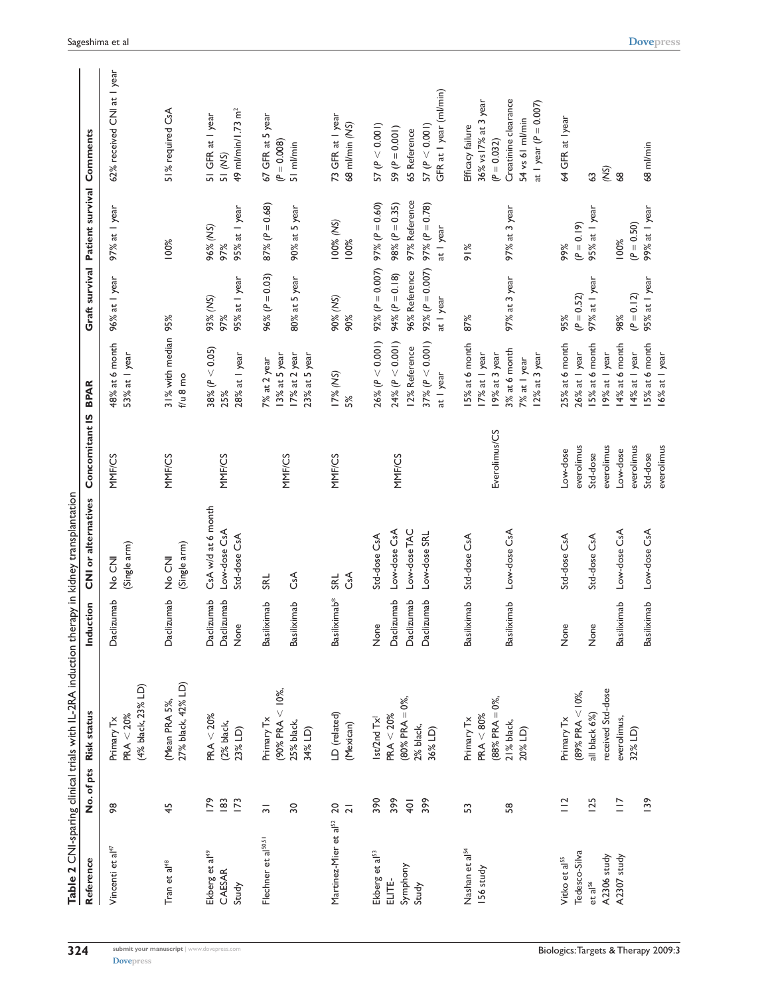|                                                                   |                                      | Table 2 CNI-sparing clinical trials with IL-2RA induction therapy in kidney transplantation |                                                |                                                              |                                                  |                                                                                                    |                                                                                              |                                                                                             |                                                                                                                                   |
|-------------------------------------------------------------------|--------------------------------------|---------------------------------------------------------------------------------------------|------------------------------------------------|--------------------------------------------------------------|--------------------------------------------------|----------------------------------------------------------------------------------------------------|----------------------------------------------------------------------------------------------|---------------------------------------------------------------------------------------------|-----------------------------------------------------------------------------------------------------------------------------------|
| Reference                                                         |                                      | No. of pts Risk status                                                                      | <b>Iction</b><br>Indu                          | <b>CNI</b> or alternatives                                   | Concomitant IS                                   | <b>BPAR</b>                                                                                        |                                                                                              | Graft survival Patient survival Comments                                                    |                                                                                                                                   |
| Vincenti et al <sup>47</sup>                                      | œ                                    | (4% black, 23% LD)<br>$PRA < 20\%$<br>Primary Tx                                            | Daclizumab                                     | (Single arm)<br>No CNI                                       | <b>MMF/CS</b>                                    | 48% at 6 month<br>53% at I year                                                                    | 96% at I year                                                                                | 97% at I year                                                                               | 62% received CNI at I year                                                                                                        |
| Tran et al <sup>48</sup>                                          | 45                                   | 27% black, 42% LD)<br>(Mean PRA 5%,                                                         | Daclizumab                                     | (Single arm)<br>No CNI                                       | <b>MMF/CS</b>                                    | 31% with median 95%<br>$f/u$ 8 mo                                                                  |                                                                                              | 100%                                                                                        | 51% required CsA                                                                                                                  |
| Ekberg et al <sup>49</sup><br>CAESAR<br>Study                     | 183<br>$\overline{173}$<br>179       | PAR < 20%<br>(2% black,<br>23% LD)                                                          | Daclizumab<br>Daclizumab<br>None               | CsA w/d at 6 month<br>Low-dose CsA<br>Std-dose CsA           | <b>MMF/CS</b>                                    | $38\% (P < 0.05)$<br>28% at I year<br>25%                                                          | 95% at I year<br>93% (NS)<br>97%                                                             | 95% at I year<br>96% (NS)<br>97%                                                            | 49 ml/min/1.73 m <sup>2</sup><br>51 GFR at 1 year<br>51 (NS)                                                                      |
| Flechner et al <sup>50,51</sup>                                   | $\overline{30}$<br>$\overline{5}$    | (90% PRA $<$ 10%,<br>Primary Tx<br>25% black,<br>34% LD)                                    | iximab<br>iximab<br>Basili<br>Basili           | CsA<br><b>SRL</b>                                            | <b>MMF/CS</b>                                    | 17% at 2 year<br>23% at 5 year<br>13% at 5 year<br>7% at 2 year                                    | $96\% (P = 0.03)$<br>80% at 5 year                                                           | $87\% (P = 0.68)$<br>90% at 5 year                                                          | 67 GFR at 5 year<br>$(P = 0.008)$<br>51 ml/min                                                                                    |
| Martinez-Mier et al <sup>52</sup>                                 | 20<br>$\overline{2}$                 | LD (related)<br>(Mexican)                                                                   | Basiliximab*                                   | CsA<br><b>SRL</b>                                            | <b>MMF/CS</b>                                    | 17% (NS)<br>5%                                                                                     | 90% (NS)<br>90%                                                                              | 100% (NS)<br>100%                                                                           | 73 GFR at I year<br>68 ml/min (NS)                                                                                                |
| Ekberg et al <sup>53</sup><br>Symphony<br>ELITE-<br>Study         | 390<br>399<br>399<br>$\overline{40}$ | $(80\%$ PRA = 0%,<br>PRA < 20%<br>Ist/2nd Tx <sup>+</sup><br>2% black,<br>36% LD)           | Daclizumab<br>Daclizumab<br>Daclizumab<br>None | Low-dose CsA<br>Low-dose TAC<br>Low-dose SRL<br>Std-dose CsA | <b>MMF/CS</b>                                    | $26\% (P < 0.001)$<br>$24\% (P < 0.001)$<br>$37\% (P < 0.001)$<br>12% Reference<br>at I year       | 92% ( $P = 0.007$ )<br>92% ( $P = 0.007$ )<br>96% Reference<br>94% $(P = 0.18)$<br>at I year | 97% Reference<br>97% ( $P = 0.60$ )<br>$98\% (P = 0.35)$<br>97% ( $P = 0.78$ )<br>at I year | GFR at I year (ml/min)<br>57 (P < 0.001)<br>57 (P < 0.001)<br>59 $(P = 0.001)$<br>65 Reference                                    |
| Nashan et al <sup>54</sup><br>S6 study                            | 58<br>S                              | $(88%$ PRA = 0%,<br>PAR < 80%<br>Primary Tx<br>21% black,<br>20% LD)                        | iximab<br>Basiliximab<br>Basili                | Low-dose CsA<br>Std-dose CsA                                 | Everolimus/CS                                    | 15% at 6 month<br>3% at 6 month<br>12% at 3 year<br>17% at 1 year<br>19% at 3 year<br>7% at I year | 97% at 3 year<br>87%                                                                         | 97% at 3 year<br>91%                                                                        | Creatinine clearance<br>36% vs 17% at 3 year<br>at 1 year ( $P = 0.007$ )<br>54 vs 61 ml/min<br>Efficacy failure<br>$(P = 0.032)$ |
| Tedesco-Silva<br>Vitko et al <sup>55</sup><br>et al <sup>56</sup> | $\frac{12}{1}$<br>125                | $(8\%$ PRA $<$ I 0%,<br>all black 6%)<br>Primary Tx                                         | None<br>None                                   | Std-dose CsA<br>Std-dose CsA                                 | everolimus<br>Low-dose<br>Std-dose               | 25% at 6 month<br>15% at 6 month<br>26% at I year                                                  | 97% at I year<br>$(P = 0.52)$<br>95%                                                         | 95% at I year<br>$(P = 0.19)$<br>99%                                                        | 64 GFR at Iyear<br>63                                                                                                             |
| A2306 study<br>A2307 study                                        | <b>139</b><br>$\equiv$               | received Std-dose<br>everolimus,<br>32% LD)                                                 | iximab<br>iximab<br>Basili<br>Basili           | Low-dose CsA<br>Low-dose CsA                                 | everolimus<br>everolimus<br>Low-dose<br>Std-dose | 14% at 6 month<br>15% at 6 month<br>9% at I year<br>14% at 1 year                                  | 95% at I year<br>$(P = 0.12)$<br>98%                                                         | 99% at I year<br>$(P = 0.50)$<br>100%                                                       | 68 ml/min<br>(S)<br>$\frac{8}{3}$                                                                                                 |
|                                                                   |                                      |                                                                                             |                                                |                                                              | everolimus                                       | 16% at 1 year                                                                                      |                                                                                              |                                                                                             |                                                                                                                                   |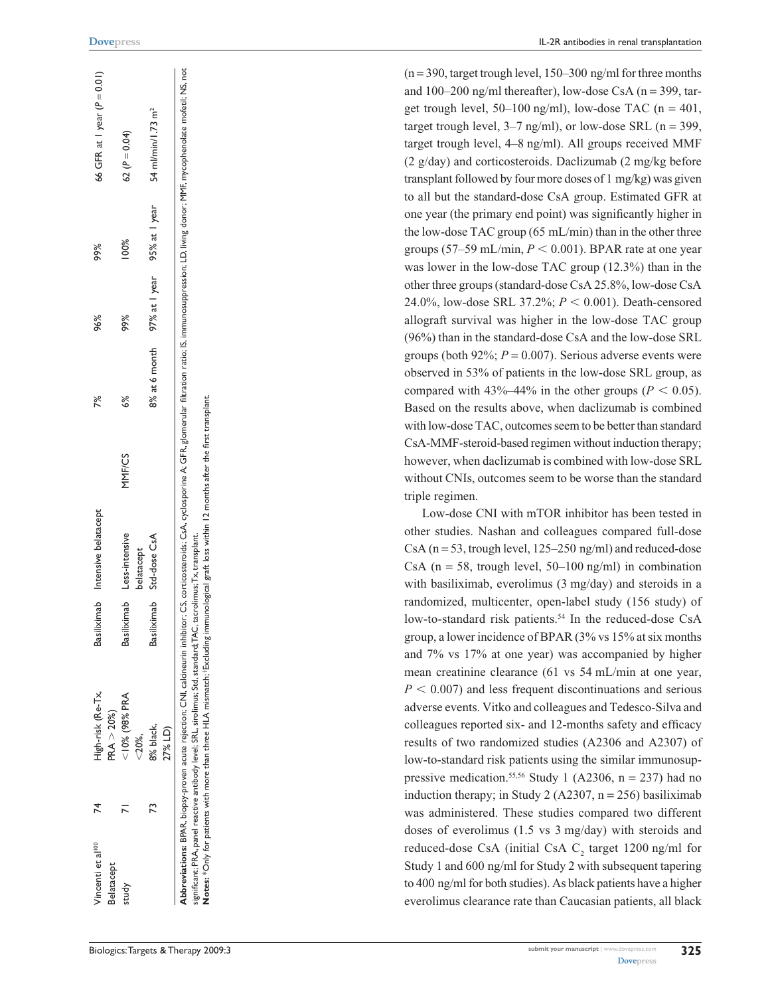| Vincenti et al <sup>100</sup> | 74 | High-risk (Re-Tx,                                                                                                                             | Basiliximab | Intensive belatacept |        | 7%            | 96%           | 99%           | 66 GFR at 1 year ( $P = 0.01$ )                                                                                                                                                                                                |
|-------------------------------|----|-----------------------------------------------------------------------------------------------------------------------------------------------|-------------|----------------------|--------|---------------|---------------|---------------|--------------------------------------------------------------------------------------------------------------------------------------------------------------------------------------------------------------------------------|
| Belatacept                    |    | PRA > 20%                                                                                                                                     |             |                      |        |               |               |               |                                                                                                                                                                                                                                |
| study                         |    | $10\%$ (98% PRA                                                                                                                               | Basiliximab | Less-intensive       | MNF/CS | 6%            | 99%           | 100%          | 62 ( $P = 0.04$ )                                                                                                                                                                                                              |
|                               |    | $<$ $20\%$ .                                                                                                                                  |             | belatacept           |        |               |               |               |                                                                                                                                                                                                                                |
|                               | 73 | 8% black,                                                                                                                                     | Basiliximab | Std-dose CsA         |        | 8% at 6 month | 97% at I year | 95% at I year | 54 ml/min/1.73 m <sup>2</sup>                                                                                                                                                                                                  |
|                               |    | 27% LD)                                                                                                                                       |             |                      |        |               |               |               |                                                                                                                                                                                                                                |
|                               |    |                                                                                                                                               |             |                      |        |               |               |               | Abbreviations: BPAR, biopsy-proven acute rejection; CNI, calcineurin inhibitor; CS, corticosteroids; CsA, cyclosporine A; GFR, glomerular filtration ratio; IS, immunosuppression; LD, living donor; MMF, mycophenolate mofeti |
|                               |    | significant; PRA, panel reactive antibody level; SRL, sirolimus; Std, standard;TAC, tacrolimus;Tx, transplant.                                |             |                      |        |               |               |               |                                                                                                                                                                                                                                |
|                               |    | Notes: *Only for patients with more than three HLA mismatch; fExcluding immunological graft loss within 12 months after the first transplant. |             |                      |        |               |               |               |                                                                                                                                                                                                                                |
|                               |    |                                                                                                                                               |             |                      |        |               |               |               |                                                                                                                                                                                                                                |
|                               |    |                                                                                                                                               |             |                      |        |               |               |               |                                                                                                                                                                                                                                |

 $(n=390, \text{target trough level}, 150-300 \text{ ng/ml}$  for three months and  $100-200$  ng/ml thereafter), low-dose CsA (n = 399, target trough level,  $50-100$  ng/ml), low-dose TAC (n = 401, target trough level,  $3-7$  ng/ml), or low-dose SRL ( $n = 399$ , target trough level, 4–8 ng/ml). All groups received MMF (2 g/day) and corticosteroids. Daclizumab (2 mg/kg before transplant followed by four more doses of 1 mg/kg) was given to all but the standard-dose CsA group. Estimated GFR at one year (the primary end point) was significantly higher in the low-dose TAC group (65 mL/min) than in the other three groups  $(57-59 \text{ mL/min}, P < 0.001)$ . BPAR rate at one year was lower in the low-dose TAC group (12.3%) than in the other three groups (standard-dose CsA 25.8%, low-dose CsA 24.0%, low-dose SRL 37.2%;  $P < 0.001$ ). Death-censored allograft survival was higher in the low-dose TAC group (96%) than in the standard-dose CsA and the low-dose SRL groups (both  $92\%$ ;  $P = 0.007$ ). Serious adverse events were observed in 53% of patients in the low-dose SRL group, as compared with  $43\% - 44\%$  in the other groups ( $P < 0.05$ ). Based on the results above, when daclizumab is combined with low-dose TAC, outcomes seem to be better than standard CsA-MMF-steroid-based regimen without induction therapy; however, when daclizumab is combined with low-dose SRL without CNIs, outcomes seem to be worse than the standard triple regimen.

Low-dose CNI with mTOR inhibitor has been tested in other studies. Nashan and colleagues compared full-dose CsA ( $n = 53$ , trough level, 125–250 ng/ml) and reduced-dose CsA ( $n = 58$ , trough level, 50–100 ng/ml) in combination with basiliximab, everolimus (3 mg/day) and steroids in a randomized, multicenter, open-label study (156 study) of low-to-standard risk patients.<sup>54</sup> In the reduced-dose CsA group, a lower incidence of BPAR (3% vs 15% at six months and 7% vs 17% at one year) was accompanied by higher mean creatinine clearance (61 vs 54 mL/min at one year,  $P < 0.007$ ) and less frequent discontinuations and serious adverse events. Vitko and colleagues and Tedesco-Silva and colleagues reported six- and 12-months safety and efficacy results of two randomized studies (A2306 and A2307) of low-to-standard risk patients using the similar immunosup pressive medication.<sup>55,56</sup> Study 1 (A2306,  $n = 237$ ) had no induction therapy; in Study 2 (A2307,  $n = 256$ ) basiliximab was administered. These studies compared two different doses of everolimus (1.5 vs 3 mg/day) with steroids and reduced-dose CsA (initial CsA  $C_2$  target 1200 ng/ml for Study 1 and 600 ng/ml for Study 2 with subsequent tapering to 400 ng/ml for both studies). As black patients have a higher everolimus clearance rate than Caucasian patients, all black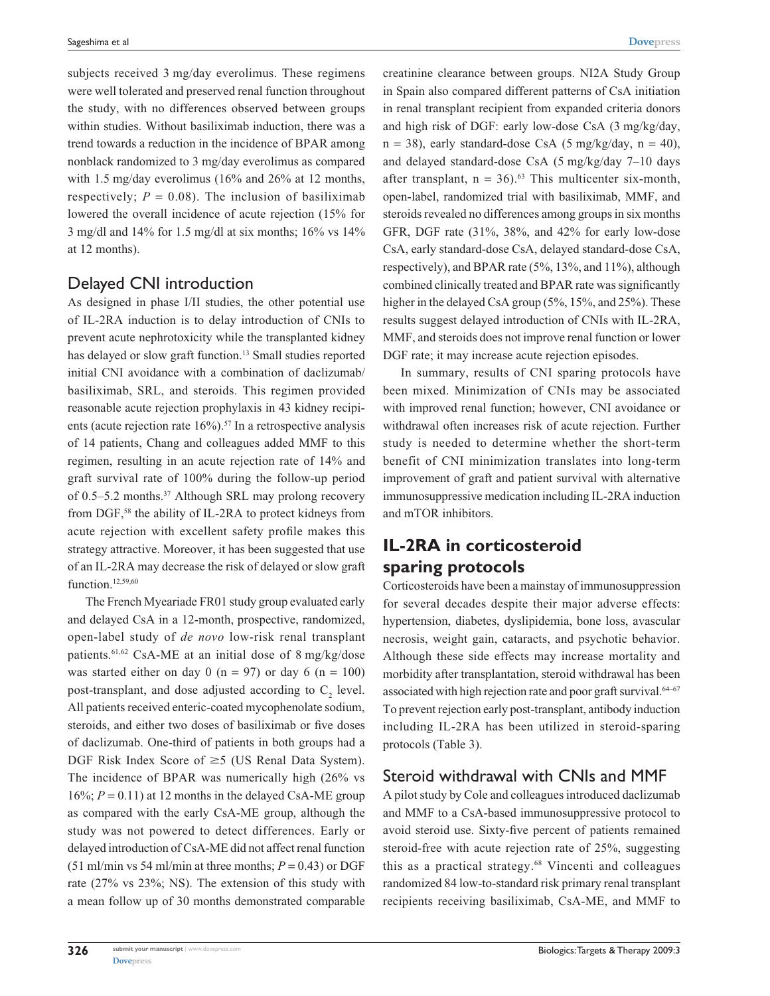subjects received 3 mg/day everolimus. These regimens were well tolerated and preserved renal function throughout the study, with no differences observed between groups within studies. Without basiliximab induction, there was a trend towards a reduction in the incidence of BPAR among nonblack randomized to 3 mg/day everolimus as compared with 1.5 mg/day everolimus (16% and 26% at 12 months, respectively;  $P = 0.08$ ). The inclusion of basiliximab lowered the overall incidence of acute rejection (15% for 3 mg/dl and 14% for 1.5 mg/dl at six months; 16% vs 14% at 12 months).

# Delayed CNI introduction

As designed in phase I/II studies, the other potential use of IL-2RA induction is to delay introduction of CNIs to prevent acute nephrotoxicity while the transplanted kidney has delayed or slow graft function.<sup>13</sup> Small studies reported initial CNI avoidance with a combination of daclizumab/ basiliximab, SRL, and steroids. This regimen provided reasonable acute rejection prophylaxis in 43 kidney recipients (acute rejection rate  $16\%$ ).<sup>57</sup> In a retrospective analysis of 14 patients, Chang and colleagues added MMF to this regimen, resulting in an acute rejection rate of 14% and graft survival rate of 100% during the follow-up period of 0.5–5.2 months.37 Although SRL may prolong recovery from DGF,58 the ability of IL-2RA to protect kidneys from acute rejection with excellent safety profile makes this strategy attractive. Moreover, it has been suggested that use of an IL-2RA may decrease the risk of delayed or slow graft function.<sup>12,59,60</sup>

The French Myeariade FR01 study group evaluated early and delayed CsA in a 12-month, prospective, randomized, open-label study of *de novo* low-risk renal transplant patients.<sup>61,62</sup> CsA-ME at an initial dose of 8 mg/kg/dose was started either on day 0 (n = 97) or day 6 (n = 100) post-transplant, and dose adjusted according to  $C_2$  level. All patients received enteric-coated mycophenolate sodium, steroids, and either two doses of basiliximab or five doses of daclizumab. One-third of patients in both groups had a DGF Risk Index Score of  $\geq$  5 (US Renal Data System). The incidence of BPAR was numerically high (26% vs  $16\%$ ;  $P = 0.11$ ) at 12 months in the delayed CsA-ME group as compared with the early CsA-ME group, although the study was not powered to detect differences. Early or delayed introduction of CsA-ME did not affect renal function (51 ml/min vs 54 ml/min at three months;  $P = 0.43$ ) or DGF rate (27% vs 23%; NS). The extension of this study with a mean follow up of 30 months demonstrated comparable

creatinine clearance between groups. NI2A Study Group in Spain also compared different patterns of CsA initiation in renal transplant recipient from expanded criteria donors and high risk of DGF: early low-dose CsA (3 mg/kg/day,  $n = 38$ ), early standard-dose CsA (5 mg/kg/day,  $n = 40$ ), and delayed standard-dose CsA (5 mg/kg/day 7–10 days after transplant,  $n = 36$ .<sup>63</sup> This multicenter six-month, open-label, randomized trial with basiliximab, MMF, and steroids revealed no differences among groups in six months GFR, DGF rate (31%, 38%, and 42% for early low-dose CsA, early standard-dose CsA, delayed standard-dose CsA, respectively), and BPAR rate (5%, 13%, and 11%), although combined clinically treated and BPAR rate was significantly higher in the delayed CsA group (5%, 15%, and 25%). These results suggest delayed introduction of CNIs with IL-2RA, MMF, and steroids does not improve renal function or lower DGF rate; it may increase acute rejection episodes.

In summary, results of CNI sparing protocols have been mixed. Minimization of CNIs may be associated with improved renal function; however, CNI avoidance or withdrawal often increases risk of acute rejection. Further study is needed to determine whether the short-term benefit of CNI minimization translates into long-term improvement of graft and patient survival with alternative immunosuppressive medication including IL-2RA induction and mTOR inhibitors.

# **IL-2RA in corticosteroid sparing protocols**

Corticosteroids have been a mainstay of immunosuppression for several decades despite their major adverse effects: hypertension, diabetes, dyslipidemia, bone loss, avascular necrosis, weight gain, cataracts, and psychotic behavior. Although these side effects may increase mortality and morbidity after transplantation, steroid withdrawal has been associated with high rejection rate and poor graft survival.<sup>64-67</sup> To prevent rejection early post-transplant, antibody induction including IL-2RA has been utilized in steroid-sparing protocols (Table 3).

#### Steroid withdrawal with CNIs and MMF

A pilot study by Cole and colleagues introduced daclizumab and MMF to a CsA-based immunosuppressive protocol to avoid steroid use. Sixty-five percent of patients remained steroid-free with acute rejection rate of 25%, suggesting this as a practical strategy.68 Vincenti and colleagues randomized 84 low-to-standard risk primary renal transplant recipients receiving basiliximab, CsA-ME, and MMF to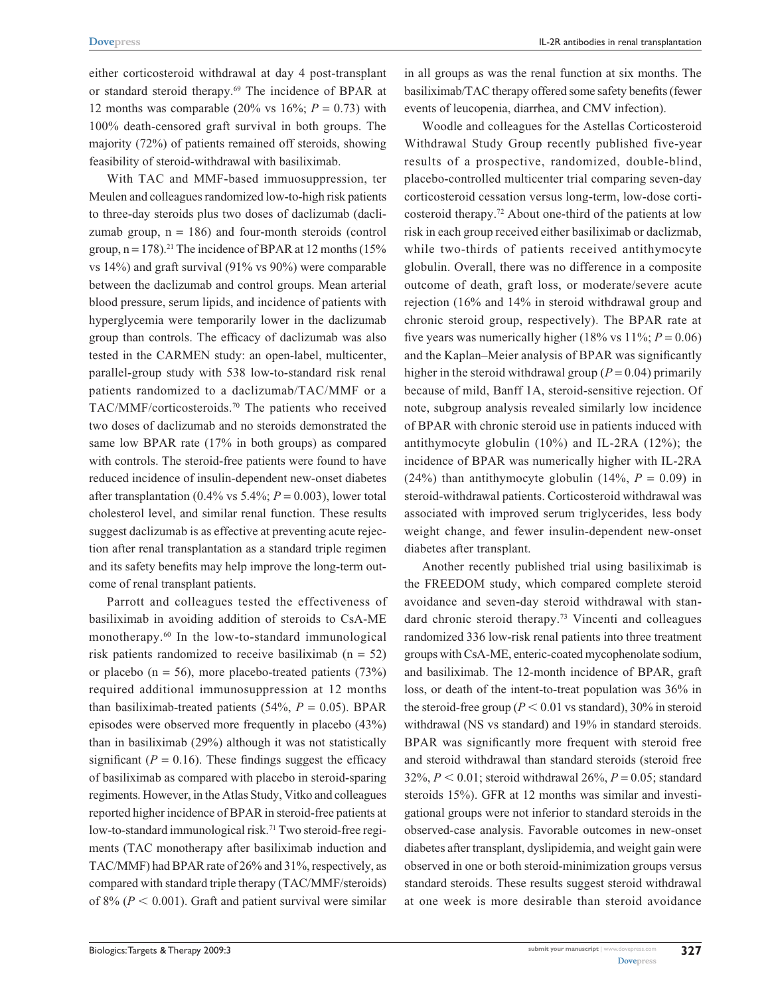either corticosteroid withdrawal at day 4 post-transplant or standard steroid therapy.69 The incidence of BPAR at 12 months was comparable (20% vs  $16\%$ ;  $P = 0.73$ ) with 100% death-censored graft survival in both groups. The majority (72%) of patients remained off steroids, showing feasibility of steroid-withdrawal with basiliximab.

With TAC and MMF-based immuosuppression, ter Meulen and colleagues randomized low-to-high risk patients to three-day steroids plus two doses of daclizumab (daclizumab group,  $n = 186$ ) and four-month steroids (control group,  $n = 178$ ).<sup>21</sup> The incidence of BPAR at 12 months (15%) vs 14%) and graft survival (91% vs 90%) were comparable between the daclizumab and control groups. Mean arterial blood pressure, serum lipids, and incidence of patients with hyperglycemia were temporarily lower in the daclizumab group than controls. The efficacy of daclizumab was also tested in the CARMEN study: an open-label, multicenter, parallel-group study with 538 low-to-standard risk renal patients randomized to a daclizumab/TAC/MMF or a TAC/MMF/corticosteroids.70 The patients who received two doses of daclizumab and no steroids demonstrated the same low BPAR rate (17% in both groups) as compared with controls. The steroid-free patients were found to have reduced incidence of insulin-dependent new-onset diabetes after transplantation  $(0.4\% \text{ vs } 5.4\%; P = 0.003)$ , lower total cholesterol level, and similar renal function. These results suggest daclizumab is as effective at preventing acute rejection after renal transplantation as a standard triple regimen and its safety benefits may help improve the long-term outcome of renal transplant patients.

Parrott and colleagues tested the effectiveness of basiliximab in avoiding addition of steroids to CsA-ME monotherapy.60 In the low-to-standard immunological risk patients randomized to receive basiliximab  $(n = 52)$ or placebo ( $n = 56$ ), more placebo-treated patients (73%) required additional immunosuppression at 12 months than basiliximab-treated patients  $(54\%, P = 0.05)$ . BPAR episodes were observed more frequently in placebo (43%) than in basiliximab (29%) although it was not statistically significant ( $P = 0.16$ ). These findings suggest the efficacy of basiliximab as compared with placebo in steroid-sparing regiments. However, in the Atlas Study, Vitko and colleagues reported higher incidence of BPAR in steroid-free patients at low-to-standard immunological risk.<sup>71</sup> Two steroid-free regiments (TAC monotherapy after basiliximab induction and TAC/MMF) had BPAR rate of 26% and 31%, respectively, as compared with standard triple therapy (TAC/MMF/steroids) of 8% ( $P < 0.001$ ). Graft and patient survival were similar

in all groups as was the renal function at six months. The basiliximab/TAC therapy offered some safety benefits (fewer events of leucopenia, diarrhea, and CMV infection).

Woodle and colleagues for the Astellas Corticosteroid Withdrawal Study Group recently published five-year results of a prospective, randomized, double-blind, placebo-controlled multicenter trial comparing seven-day corticosteroid cessation versus long-term, low-dose corticosteroid therapy.72 About one-third of the patients at low risk in each group received either basiliximab or daclizmab, while two-thirds of patients received antithymocyte globulin. Overall, there was no difference in a composite outcome of death, graft loss, or moderate/severe acute rejection (16% and 14% in steroid withdrawal group and chronic steroid group, respectively). The BPAR rate at five years was numerically higher (18% vs  $11\%$ ;  $P = 0.06$ ) and the Kaplan–Meier analysis of BPAR was significantly higher in the steroid withdrawal group  $(P = 0.04)$  primarily because of mild, Banff 1A, steroid-sensitive rejection. Of note, subgroup analysis revealed similarly low incidence of BPAR with chronic steroid use in patients induced with antithymocyte globulin (10%) and IL-2RA (12%); the incidence of BPAR was numerically higher with IL-2RA (24%) than antithymocyte globulin (14%,  $P = 0.09$ ) in steroid-withdrawal patients. Corticosteroid withdrawal was associated with improved serum triglycerides, less body weight change, and fewer insulin-dependent new-onset diabetes after transplant.

Another recently published trial using basiliximab is the FREEDOM study, which compared complete steroid avoidance and seven-day steroid withdrawal with standard chronic steroid therapy.73 Vincenti and colleagues randomized 336 low-risk renal patients into three treatment groups with CsA-ME, enteric-coated mycophenolate sodium, and basiliximab. The 12-month incidence of BPAR, graft loss, or death of the intent-to-treat population was 36% in the steroid-free group  $(P < 0.01$  vs standard), 30% in steroid withdrawal (NS vs standard) and 19% in standard steroids. BPAR was significantly more frequent with steroid free and steroid withdrawal than standard steroids (steroid free 32%,  $P < 0.01$ ; steroid withdrawal 26%,  $P = 0.05$ ; standard steroids 15%). GFR at 12 months was similar and investigational groups were not inferior to standard steroids in the observed-case analysis. Favorable outcomes in new-onset diabetes after transplant, dyslipidemia, and weight gain were observed in one or both steroid-minimization groups versus standard steroids. These results suggest steroid withdrawal at one week is more desirable than steroid avoidance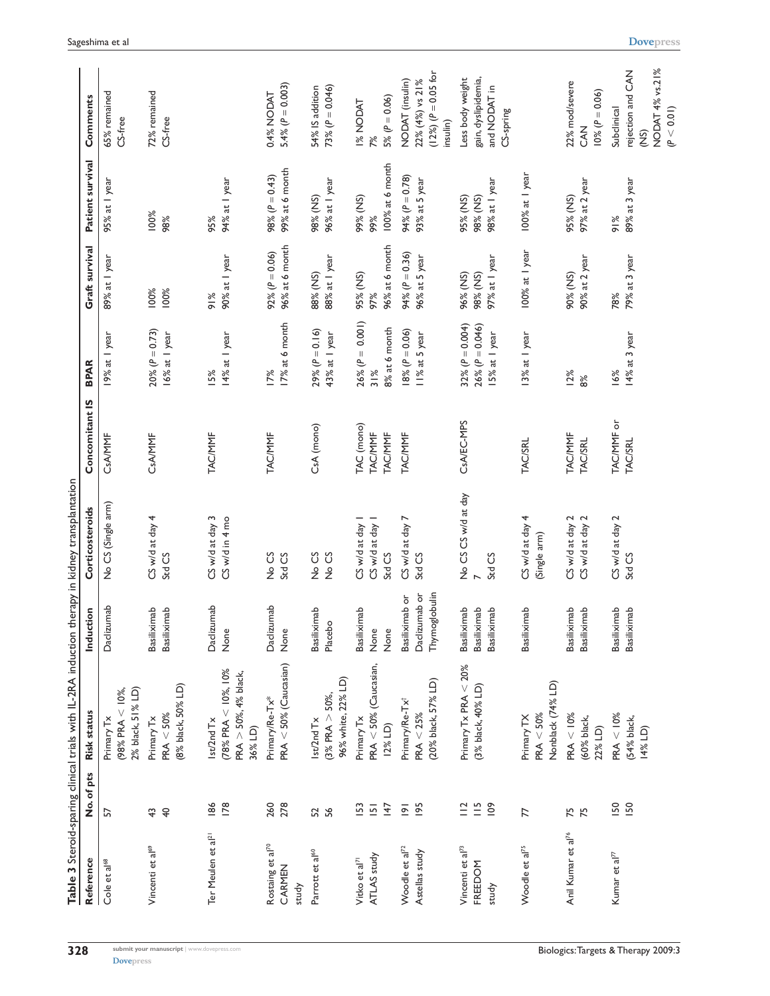|                                                  |                                                       | Table 3 Steroid-sparing clinical trials with IL-2RA induction therapy in kidney transplantation |                                                  |                                          |                                                |                                                            |                                       |                                       |                                                                                      |
|--------------------------------------------------|-------------------------------------------------------|-------------------------------------------------------------------------------------------------|--------------------------------------------------|------------------------------------------|------------------------------------------------|------------------------------------------------------------|---------------------------------------|---------------------------------------|--------------------------------------------------------------------------------------|
| Reference                                        | No. of pts                                            | Risk status                                                                                     | Induction                                        | Corticosteroids                          | Concomitant IS                                 | <b>BPAR</b>                                                | Graft survival                        | Patient survival                      | Comments                                                                             |
| Cole et al <sup>68</sup>                         | 5                                                     | 2% black, 51% LD)<br>$(98\%$ PRA $<$ 10%,<br>Primary Tx                                         | Daclizumab                                       | No CS (Single arm)                       | CsA/MMF                                        | 19% at I year                                              | 89% at I year                         | 95% at I year                         | 65% remained<br>CS-free                                                              |
| Vincenti et al <sup>69</sup>                     | $\overline{a}$<br>$43\,$                              | (8% black, 50% LD)<br>$PRA < 50\%$<br>Primary Tx                                                | Basiliximab<br><b>Basiliximab</b>                | CS w/d at day 4<br>Std CS                | CsA/MMF                                        | $20\% (P = 0.73)$<br>16% at I year                         | 100%<br>100%                          | 100%<br>98%                           | 72% remained<br>CS-free                                                              |
| Ter Meulen et al <sup>21</sup>                   | 186<br><b>178</b>                                     | $(78\%$ PRA $<$ $10\%$ , $10\%$<br>$PRA > 50\%, 4\%$ black,<br>Ist/2nd Tx<br>36% LD)            | Daclizumab<br>None                               | CS w/d at day 3<br>CS w/d in 4 mo        | <b>TAC/MMF</b>                                 | 14% at I year<br>15%                                       | 90% at I year<br>$\frac{8}{9}$        | 94% at I year<br>95%                  |                                                                                      |
| Rostaing et al <sup>70</sup><br>CARMEN<br>study  | 278<br>260                                            | $PRA < 50%$ (Caucasian)<br>Primary/Re-Tx*                                                       | Daclizumab<br>None                               | No CS<br>Std CS                          | <b>TAC/MMF</b>                                 | 17% at 6 month<br>17%                                      | 96% at 6 month<br>92% ( $P = 0.06$ )  | 99% at 6 month<br>98% ( $P = 0.43$ )  | $5.4\% (P = 0.003)$<br>0.4% NODAT                                                    |
| Parrott et al <sup>60</sup>                      | 52<br>56                                              | 96% white, 22% LD)<br>$(3\%$ PRA $>$ 50%,<br>st/2nd Tx                                          | Basiliximab<br>Placebo                           | No CS<br>No CS                           | CsA (mono)                                     | $29%$ (P = 0.16)<br>43% at I year                          | 88% at I year<br>88% (NS)             | 96% at I year<br>98% (NS)             | 73% $(P = 0.046)$<br>54% IS addition                                                 |
| ATLAS study<br>Vitko et al <sup>71</sup>         | 153<br>147<br>$\overline{5}$                          | $PRA < 50\%$ (Caucasian,<br>Primary Tx<br>12% LD)                                               | <b>Basiliximab</b><br>None<br>None               | CS w/d at day<br>CS w/d at day<br>Std CS | TAC (mono)<br><b>TAC/MMF</b><br><b>TAC/MMF</b> | $26\% (P = 0.001)$<br>8% at 6 month<br>31%                 | 96% at 6 month<br>95% (NS)<br>97%     | 100% at 6 month<br>99% (NS)<br>99%    | 5% ( $P = 0.06$ )<br><b>I% NODAT</b><br>7%                                           |
| Woodle et al <sup>72</sup><br>Astellas study     | 195<br>$\overline{6}$                                 | (20% black, 57% LD)<br>Primary/Re-Tx <sup>+</sup><br>PRA < 25%                                  | Daclizumab or<br>Thymoglobulin<br>Basiliximab or | CS w/d at day 7<br>Std CS                | <b>TAC/MMF</b>                                 | $18% (P = 0.06)$<br>II% at 5 year                          | 94% ( $P = 0.36$ )<br>96% at 5 year   | 94% ( $P = 0.78$ )<br>93% at 5 year   | $(12%) (P = 0.05 for$<br>NODAT (insulin)<br>22% (4%) vs 21%<br>insulin)              |
| Vincenti et al <sup>73</sup><br>FREEDOM<br>study | $\stackrel{.6}{=}$<br>$\overline{0}$<br>$\frac{1}{2}$ | Primary Tx PRA < 20%<br>(3% black, 40% LD)                                                      | Basiliximab<br>Basiliximab<br>Basiliximab        | No CS CS w/d at day<br>Std CS            | CsA/EC-MPS                                     | 32% ( $P = 0.004$ )<br>$26\% (P = 0.046)$<br>15% at 1 year | 97% at I year<br>96% (NS)<br>98% (NS) | 98% at I year<br>98% (NS)<br>95% (NS) | gain, dyslipidemia,<br>Less body weight<br>and NODAT in<br>CS-spring                 |
| Woodle et al <sup>75</sup>                       | 77                                                    | Nonblack (74% LD)<br>$PRA < 50\%$<br>Primary TX                                                 | <b>Basiliximab</b>                               | CS w/d at day 4<br>(Single arm)          | <b>TAC/SRL</b>                                 | 13% at I year                                              | 100% at 1 year                        | 100% at I year                        |                                                                                      |
| Anil Kumar et al <sup>76</sup>                   | 75<br>75                                              | PRA < 10%<br>(60% black,<br>22% LD)                                                             | Basiliximab<br>Basiliximab                       | CS w/d at day 2<br>CS w/d at day 2       | <b>TAC/MMF</b><br><b>TAC/SRL</b>               | 12%<br>8%                                                  | 90% at 2 year<br>90% (NS)             | 97% at 2 year<br>95% (NS)             | 22% mod/severe<br>$10%$ ( $P = 0.06$ )<br><b>Z<br/>CAN</b>                           |
| Kumar et al <sup>77</sup>                        | <b>I50</b><br><b>ISO</b>                              | $PRA < 10\%$<br>(54% black,<br>14% LD)                                                          | Basiliximab<br>Basiliximab                       | CS w/d at day 2<br>Std CS                | TAC/MMF or<br><b>TAC/SRL</b>                   | 14% at 3 year<br>16%                                       | 79% at 3 year<br>78%                  | 89% at 3 year<br>91%                  | NODAT 4% vs.21%<br>rejection and CAN<br>(P < 0.01)<br>Subclinical<br>$\widetilde{2}$ |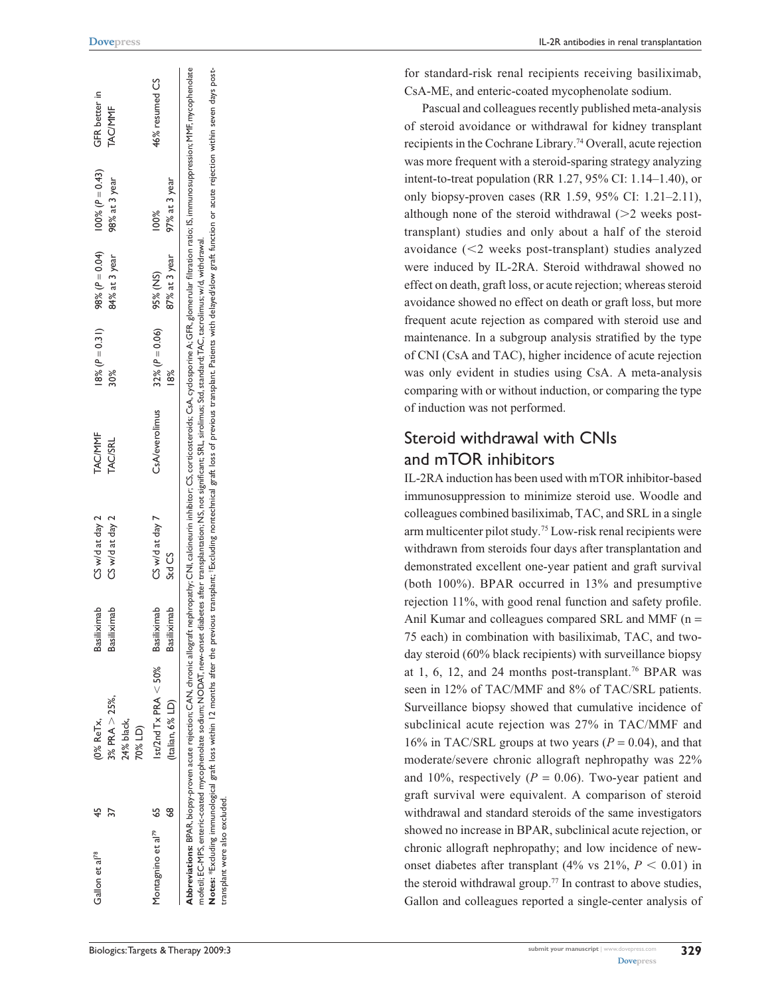| Gallon et al <sup>78</sup>        | ᢒ | (0% ReTx,                                                                                                                                                                                                                                                                                                                                                                                                                                                                                                                                     | Basiliximab        | CS w/d at day 2                                                                                                      | <b>TAC/MMF</b> | $18% (P = 0.31)$   | 98% ( $P = 0.04$ ) | $100\% (P = 0.43)$ | GFR better in  |
|-----------------------------------|---|-----------------------------------------------------------------------------------------------------------------------------------------------------------------------------------------------------------------------------------------------------------------------------------------------------------------------------------------------------------------------------------------------------------------------------------------------------------------------------------------------------------------------------------------------|--------------------|----------------------------------------------------------------------------------------------------------------------|----------------|--------------------|--------------------|--------------------|----------------|
|                                   |   | $3\%$ PRA $> 25\%$                                                                                                                                                                                                                                                                                                                                                                                                                                                                                                                            | Basiliximab        | CS w/d at day 2                                                                                                      | <b>TAC/SRL</b> | 30%                | 84% at 3 year      | 98% at 3 year      | <b>TAC/MMF</b> |
|                                   |   | 24% black,<br>70% LD)                                                                                                                                                                                                                                                                                                                                                                                                                                                                                                                         |                    |                                                                                                                      |                |                    |                    |                    |                |
| Montagnino et al <sup>79</sup> 65 |   | $st/2nd$ Tx PRA $<$ 50% Basiliximab                                                                                                                                                                                                                                                                                                                                                                                                                                                                                                           |                    | CS w/d at day 7                                                                                                      | CsA/everolimus | 32% ( $P = 0.06$ ) | 95% (NS)           |                    | 46% resumed CS |
|                                   |   | (Italian, 6% LD)                                                                                                                                                                                                                                                                                                                                                                                                                                                                                                                              | <b>Basiliximab</b> | Std CS                                                                                                               |                |                    | 87% at 3 year      | 97% at 3 year      |                |
| transplant were also excluded.    |   | Abbreviations: BPAR, biopsy-proven acute rejection; CAN, chronic allograft nephropathy; CNI, calcineurin inhibitor; CS, corticosteroids; CAA, oyclosporine A; GFR, glomerular filtration ratio; IS, immunosuppression; MMF, my<br>Notes: *Excluding immunological graft loss within 12 months after the previous transplant iExcluding nontechnical graft loss of previous transplant. Patients with delayed/slow graft function or acute rejection within seven<br>mofetil; EC-MPS, enteric-coated mycophenolate sodium; NODAT, new-onset di |                    | iabetes after transplantation; NS, not significant; SRL, sirolimus; Std, standard; TAC, tacrolimus; w/d, withdrawal. |                |                    |                    |                    |                |

for standard-risk renal recipients receiving basiliximab, CsA-ME, and enteric-coated mycophenolate sodium.

Pascual and colleagues recently published meta-analysis of steroid avoidance or withdrawal for kidney transplant recipients in the Cochrane Library.74 Overall, acute rejection was more frequent with a steroid-sparing strategy analyzing intent-to-treat population (RR 1.27, 95% CI: 1.14–1.40), or only biopsy-proven cases (RR 1.59, 95% CI: 1.21–2.11), although none of the steroid withdrawal ( 2 weeks posttransplant) studies and only about a half of the steroid avoidance ( 2 weeks post-transplant) studies analyzed were induced by IL-2RA. Steroid withdrawal showed no effect on death, graft loss, or acute rejection; whereas steroid avoidance showed no effect on death or graft loss, but more frequent acute rejection as compared with steroid use and maintenance. In a subgroup analysis stratified by the type of CNI (CsA and TAC), higher incidence of acute rejection was only evident in studies using CsA. A meta-analysis comparing with or without induction, or comparing the type of induction was not performed.

# Steroid withdrawal with CN Is and mTO R inhibitors

IL-2RA induction has been used with mTOR inhibitor-based immunosuppression to minimize steroid use. Woodle and colleagues combined basiliximab, TAC, and SRL in a single arm multicenter pilot study.75 Low-risk renal recipients were withdrawn from steroids four days after transplantation and demonstrated excellent one-year patient and graft survival (both 100%). BPAR occurred in 13% and presumptive rejection 11%, with good renal function and safety profile. Anil Kumar and colleagues compared SRL and MMF (n = 75 each) in combination with basiliximab, TAC, and twoday steroid (60% black recipients) with surveillance biopsy at 1, 6, 12, and 24 months post-transplant.<sup>76</sup> BPAR was seen in 12% of TAC/MMF and 8% of TAC/SRL patients. Surveillance biopsy showed that cumulative incidence of subclinical acute rejection was 27% in TAC/MMF and 16% in TAC/SRL groups at two years  $(P = 0.04)$ , and that moderate/severe chronic allograft nephropathy was 22% and 10%, respectively  $(P = 0.06)$ . Two-year patient and graft survival were equivalent. A comparison of steroid withdrawal and standard steroids of the same investigators showed no increase in BPAR, subclinical acute rejection, or chronic allograft nephropathy; and low incidence of newonset diabetes after transplant (4% vs  $21\%$ ,  $P < 0.01$ ) in the steroid withdrawal group.<sup>77</sup> In contrast to above studies, Gallon and colleagues reported a single-center analysis of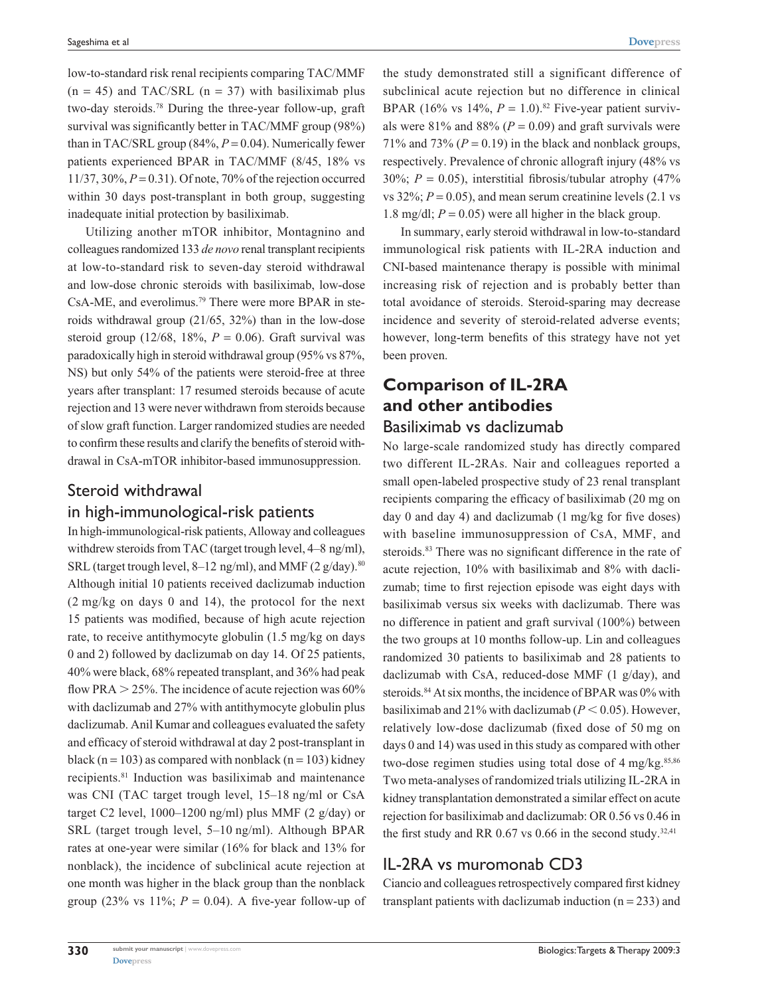low-to-standard risk renal recipients comparing TAC/MMF  $(n = 45)$  and TAC/SRL  $(n = 37)$  with basiliximab plus two-day steroids.78 During the three-year follow-up, graft survival was significantly better in TAC/MMF group (98%) than in TAC/SRL group  $(84\%, P = 0.04)$ . Numerically fewer patients experienced BPAR in TAC/MMF (8/45, 18% vs 11/37, 30%, *P* = 0.31). Of note, 70% of the rejection occurred within 30 days post-transplant in both group, suggesting inadequate initial protection by basiliximab.

Utilizing another mTOR inhibitor, Montagnino and colleagues randomized 133 *de novo* renal transplant recipients at low-to-standard risk to seven-day steroid withdrawal and low-dose chronic steroids with basiliximab, low-dose CsA-ME, and everolimus.79 There were more BPAR in steroids withdrawal group (21/65, 32%) than in the low-dose steroid group  $(12/68, 18\%, P = 0.06)$ . Graft survival was paradoxically high in steroid withdrawal group (95% vs 87%, NS) but only 54% of the patients were steroid-free at three years after transplant: 17 resumed steroids because of acute rejection and 13 were never withdrawn from steroids because of slow graft function. Larger randomized studies are needed to confirm these results and clarify the benefits of steroid withdrawal in CsA-mTOR inhibitor-based immunosuppression.

## Steroid withdrawal in high-immunological-risk patients

In high-immunological-risk patients, Alloway and colleagues withdrew steroids from TAC (target trough level, 4–8 ng/ml), SRL (target trough level, 8–12 ng/ml), and MMF (2 g/day).<sup>80</sup> Although initial 10 patients received daclizumab induction (2 mg/kg on days 0 and 14), the protocol for the next 15 patients was modified, because of high acute rejection rate, to receive antithymocyte globulin (1.5 mg/kg on days 0 and 2) followed by daclizumab on day 14. Of 25 patients, 40% were black, 68% repeated transplant, and 36% had peak flow PRA  $>$  25%. The incidence of acute rejection was 60% with daclizumab and 27% with antithymocyte globulin plus daclizumab. Anil Kumar and colleagues evaluated the safety and efficacy of steroid withdrawal at day 2 post-transplant in black (n = 103) as compared with nonblack (n = 103) kidney recipients.81 Induction was basiliximab and maintenance was CNI (TAC target trough level, 15–18 ng/ml or CsA target C2 level,  $1000-1200$  ng/ml) plus MMF (2 g/day) or SRL (target trough level, 5–10 ng/ml). Although BPAR rates at one-year were similar (16% for black and 13% for nonblack), the incidence of subclinical acute rejection at one month was higher in the black group than the nonblack group (23% vs  $11\%$ ;  $P = 0.04$ ). A five-year follow-up of

the study demonstrated still a significant difference of subclinical acute rejection but no difference in clinical BPAR (16% vs 14%,  $P = 1.0$ ).<sup>82</sup> Five-year patient survivals were  $81\%$  and  $88\%$  ( $P = 0.09$ ) and graft survivals were 71% and 73% ( $P = 0.19$ ) in the black and nonblack groups, respectively. Prevalence of chronic allograft injury (48% vs 30%;  $P = 0.05$ ), interstitial fibrosis/tubular atrophy (47%) vs  $32\%$ ;  $P = 0.05$ ), and mean serum creatinine levels (2.1 vs 1.8 mg/dl;  $P = 0.05$ ) were all higher in the black group.

In summary, early steroid withdrawal in low-to-standard immunological risk patients with IL-2RA induction and CNI-based maintenance therapy is possible with minimal increasing risk of rejection and is probably better than total avoidance of steroids. Steroid-sparing may decrease incidence and severity of steroid-related adverse events; however, long-term benefits of this strategy have not yet been proven.

# **Comparison of IL-2RA and other antibodies** Basiliximab vs daclizumab

## No large-scale randomized study has directly compared two different IL-2RAs. Nair and colleagues reported a small open-labeled prospective study of 23 renal transplant recipients comparing the efficacy of basiliximab (20 mg on day 0 and day 4) and daclizumab (1 mg/kg for five doses) with baseline immunosuppression of CsA, MMF, and steroids.<sup>83</sup> There was no significant difference in the rate of acute rejection, 10% with basiliximab and 8% with daclizumab; time to first rejection episode was eight days with basiliximab versus six weeks with daclizumab. There was no difference in patient and graft survival (100%) between the two groups at 10 months follow-up. Lin and colleagues randomized 30 patients to basiliximab and 28 patients to daclizumab with CsA, reduced-dose MMF (1 g/day), and steroids.<sup>84</sup> At six months, the incidence of BPAR was 0% with basiliximab and 21% with daclizumab ( $P < 0.05$ ). However, relatively low-dose daclizumab (fixed dose of 50 mg on days 0 and 14) was used in this study as compared with other two-dose regimen studies using total dose of  $4 \text{ mg/kg}$ .<sup>85,86</sup> Two meta-analyses of randomized trials utilizing IL-2RA in kidney transplantation demonstrated a similar effect on acute rejection for basiliximab and daclizumab: OR 0.56 vs 0.46 in the first study and RR  $0.67$  vs  $0.66$  in the second study.<sup>32,41</sup>

# IL-2RA vs muromonab CD3

Ciancio and colleagues retrospectively compared first kidney transplant patients with daclizumab induction  $(n = 233)$  and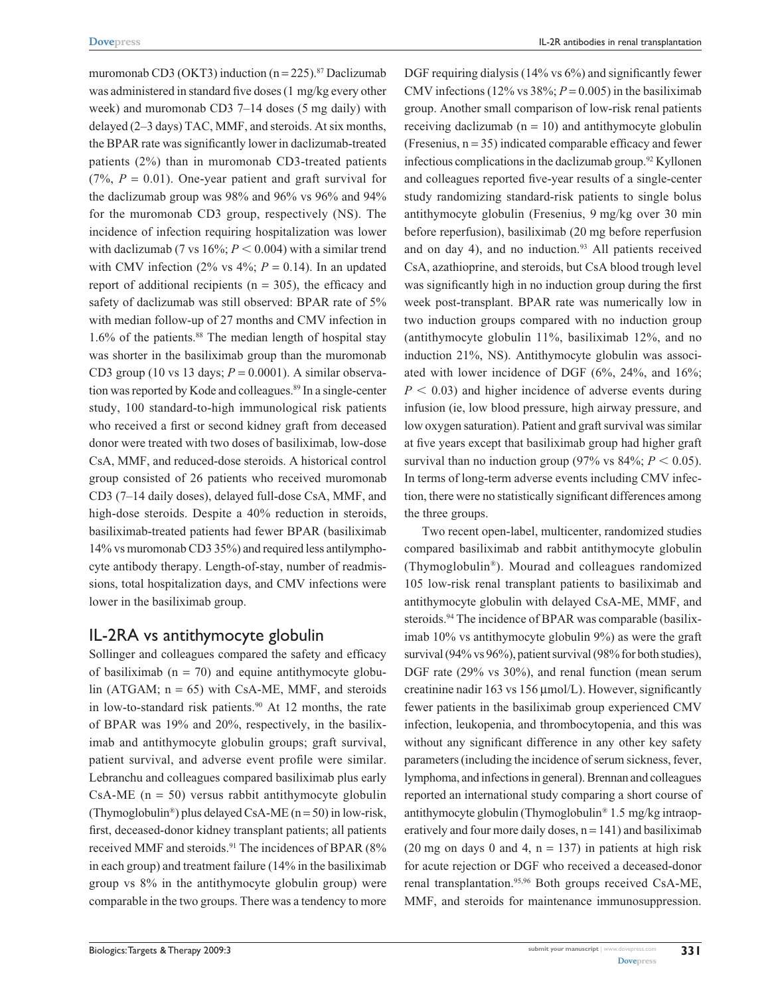muromonab CD3 (OKT3) induction  $(n = 225)$ .<sup>87</sup> Daclizumab was administered in standard five doses (1 mg/kg every other week) and muromonab CD3 7–14 doses (5 mg daily) with delayed (2–3 days) TAC, MMF, and steroids. At six months, the BPAR rate was significantly lower in daclizumab-treated patients (2%) than in muromonab CD3-treated patients  $(7\%, P = 0.01)$ . One-year patient and graft survival for the daclizumab group was 98% and 96% vs 96% and 94% for the muromonab CD3 group, respectively (NS). The incidence of infection requiring hospitalization was lower with daclizumab (7 vs  $16\%$ ;  $P < 0.004$ ) with a similar trend with CMV infection (2% vs  $4\frac{1}{2}$ ;  $P = 0.14$ ). In an updated report of additional recipients ( $n = 305$ ), the efficacy and safety of daclizumab was still observed: BPAR rate of 5% with median follow-up of 27 months and CMV infection in 1.6% of the patients.88 The median length of hospital stay was shorter in the basiliximab group than the muromonab CD3 group (10 vs 13 days;  $P = 0.0001$ ). A similar observation was reported by Kode and colleagues.<sup>89</sup> In a single-center study, 100 standard-to-high immunological risk patients who received a first or second kidney graft from deceased donor were treated with two doses of basiliximab, low-dose CsA, MMF, and reduced-dose steroids. A historical control group consisted of 26 patients who received muromonab CD3 (7–14 daily doses), delayed full-dose CsA, MMF, and high-dose steroids. Despite a 40% reduction in steroids, basiliximab-treated patients had fewer BPAR (basiliximab 14% vs muromonab CD3 35%) and required less antilymphocyte antibody therapy. Length-of-stay, number of readmissions, total hospitalization days, and CMV infections were lower in the basiliximab group.

## IL-2RA vs antithymocyte globulin

Sollinger and colleagues compared the safety and efficacy of basiliximab  $(n = 70)$  and equine antithymocyte globulin (ATGAM;  $n = 65$ ) with CsA-ME, MMF, and steroids in low-to-standard risk patients.<sup>90</sup> At 12 months, the rate of BPAR was 19% and 20%, respectively, in the basiliximab and antithymocyte globulin groups; graft survival, patient survival, and adverse event profile were similar. Lebranchu and colleagues compared basiliximab plus early CsA-ME  $(n = 50)$  versus rabbit antithymocyte globulin (Thymoglobulin<sup>®</sup>) plus delayed CsA-ME ( $n = 50$ ) in low-risk, first, deceased-donor kidney transplant patients; all patients received MMF and steroids.<sup>91</sup> The incidences of BPAR (8% in each group) and treatment failure (14% in the basiliximab group vs 8% in the antithymocyte globulin group) were comparable in the two groups. There was a tendency to more DGF requiring dialysis (14% vs 6%) and significantly fewer CMV infections (12% vs  $38\%$ ;  $P = 0.005$ ) in the basiliximab group. Another small comparison of low-risk renal patients receiving daclizumab  $(n = 10)$  and antithymocyte globulin (Fresenius,  $n = 35$ ) indicated comparable efficacy and fewer infectious complications in the daclizumab group.<sup>92</sup> Kyllonen and colleagues reported five-year results of a single-center study randomizing standard-risk patients to single bolus antithymocyte globulin (Fresenius, 9 mg/kg over 30 min before reperfusion), basiliximab (20 mg before reperfusion and on day 4), and no induction.<sup>93</sup> All patients received CsA, azathioprine, and steroids, but CsA blood trough level was significantly high in no induction group during the first week post-transplant. BPAR rate was numerically low in two induction groups compared with no induction group (antithymocyte globulin 11%, basiliximab 12%, and no induction 21%, NS). Antithymocyte globulin was associated with lower incidence of DGF (6%, 24%, and 16%;  $P < 0.03$ ) and higher incidence of adverse events during infusion (ie, low blood pressure, high airway pressure, and low oxygen saturation). Patient and graft survival was similar at five years except that basiliximab group had higher graft survival than no induction group (97% vs  $84\%$ ;  $P < 0.05$ ). In terms of long-term adverse events including CMV infection, there were no statistically significant differences among the three groups.

Two recent open-label, multicenter, randomized studies compared basiliximab and rabbit antithymocyte globulin (Thymoglobulin®). Mourad and colleagues randomized 105 low-risk renal transplant patients to basiliximab and antithymocyte globulin with delayed CsA-ME, MMF, and steroids.<sup>94</sup> The incidence of BPAR was comparable (basiliximab 10% vs antithymocyte globulin 9%) as were the graft survival (94% vs 96%), patient survival (98% for both studies), DGF rate (29% vs 30%), and renal function (mean serum creatinine nadir 163 vs 156 µmol/L). However, significantly fewer patients in the basiliximab group experienced CMV infection, leukopenia, and thrombocytopenia, and this was without any significant difference in any other key safety parameters (including the incidence of serum sickness, fever, lymphoma, and infections in general). Brennan and colleagues reported an international study comparing a short course of antithymocyte globulin (Thymoglobulin® 1.5 mg/kg intraoperatively and four more daily doses,  $n = 141$ ) and basiliximab (20 mg on days 0 and 4,  $n = 137$ ) in patients at high risk for acute rejection or DGF who received a deceased-donor renal transplantation.95,96 Both groups received CsA-ME, MMF, and steroids for maintenance immunosuppression.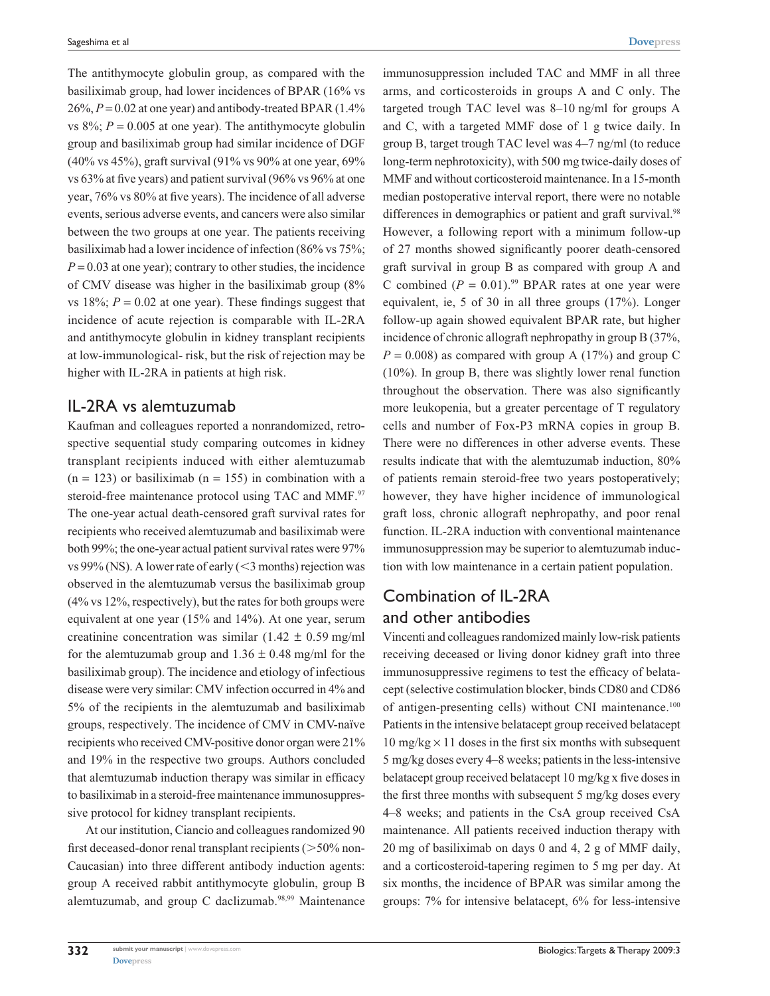The antithymocyte globulin group, as compared with the basiliximab group, had lower incidences of BPAR (16% vs  $26\%, P = 0.02$  at one year) and antibody-treated BPAR  $(1.4\%)$ vs  $8\%$ ;  $P = 0.005$  at one year). The antithymocyte globulin group and basiliximab group had similar incidence of DGF (40% vs 45%), graft survival (91% vs 90% at one year, 69% vs 63% at five years) and patient survival (96% vs 96% at one year, 76% vs 80% at five years). The incidence of all adverse events, serious adverse events, and cancers were also similar between the two groups at one year. The patients receiving basiliximab had a lower incidence of infection (86% vs 75%;  $P = 0.03$  at one year); contrary to other studies, the incidence of CMV disease was higher in the basiliximab group (8% vs  $18\%$ ;  $P = 0.02$  at one year). These findings suggest that incidence of acute rejection is comparable with IL-2RA and antithymocyte globulin in kidney transplant recipients at low-immunological- risk, but the risk of rejection may be higher with IL-2RA in patients at high risk.

#### IL-2RA vs alemtuzumab

Kaufman and colleagues reported a nonrandomized, retrospective sequential study comparing outcomes in kidney transplant recipients induced with either alemtuzumab  $(n = 123)$  or basiliximab  $(n = 155)$  in combination with a steroid-free maintenance protocol using TAC and MMF.<sup>97</sup> The one-year actual death-censored graft survival rates for recipients who received alemtuzumab and basiliximab were both 99%; the one-year actual patient survival rates were 97% vs 99% (NS). A lower rate of early  $(<$ 3 months) rejection was observed in the alemtuzumab versus the basiliximab group (4% vs 12%, respectively), but the rates for both groups were equivalent at one year (15% and 14%). At one year, serum creatinine concentration was similar (1.42  $\pm$  0.59 mg/ml for the alemtuzumab group and  $1.36 \pm 0.48$  mg/ml for the basiliximab group). The incidence and etiology of infectious disease were very similar: CMV infection occurred in 4% and 5% of the recipients in the alemtuzumab and basiliximab groups, respectively. The incidence of CMV in CMV-naïve recipients who received CMV-positive donor organ were 21% and 19% in the respective two groups. Authors concluded that alemtuzumab induction therapy was similar in efficacy to basiliximab in a steroid-free maintenance immunosuppressive protocol for kidney transplant recipients.

At our institution, Ciancio and colleagues randomized 90 first deceased-donor renal transplant recipients  $($ >50% non-Caucasian) into three different antibody induction agents: group A received rabbit antithymocyte globulin, group B alemtuzumab, and group C daclizumab.98,99 Maintenance

immunosuppression included TAC and MMF in all three arms, and corticosteroids in groups A and C only. The targeted trough TAC level was 8–10 ng/ml for groups A and C, with a targeted MMF dose of 1 g twice daily. In group B, target trough TAC level was 4–7 ng/ml (to reduce long-term nephrotoxicity), with 500 mg twice-daily doses of MMF and without corticosteroid maintenance. In a 15-month median postoperative interval report, there were no notable differences in demographics or patient and graft survival.<sup>98</sup> However, a following report with a minimum follow-up of 27 months showed significantly poorer death-censored graft survival in group B as compared with group A and C combined  $(P = 0.01)$ .<sup>99</sup> BPAR rates at one year were equivalent, ie, 5 of 30 in all three groups (17%). Longer follow-up again showed equivalent BPAR rate, but higher incidence of chronic allograft nephropathy in group B (37%,  $P = 0.008$ ) as compared with group A (17%) and group C (10%). In group B, there was slightly lower renal function throughout the observation. There was also significantly more leukopenia, but a greater percentage of T regulatory cells and number of Fox-P3 mRNA copies in group B. There were no differences in other adverse events. These results indicate that with the alemtuzumab induction, 80% of patients remain steroid-free two years postoperatively; however, they have higher incidence of immunological graft loss, chronic allograft nephropathy, and poor renal function. IL-2RA induction with conventional maintenance immunosuppression may be superior to alemtuzumab induction with low maintenance in a certain patient population.

# Combination of IL-2RA and other antibodies

Vincenti and colleagues randomized mainly low-risk patients receiving deceased or living donor kidney graft into three immunosuppressive regimens to test the efficacy of belatacept (selective costimulation blocker, binds CD80 and CD86 of antigen-presenting cells) without CNI maintenance.100 Patients in the intensive belatacept group received belatacept  $10 \text{ mg/kg} \times 11 \text{ doses}$  in the first six months with subsequent 5 mg/kg doses every 4–8 weeks; patients in the less-intensive belatacept group received belatacept 10 mg/kg x five doses in the first three months with subsequent 5 mg/kg doses every 4–8 weeks; and patients in the CsA group received CsA maintenance. All patients received induction therapy with 20 mg of basiliximab on days 0 and 4, 2 g of MMF daily, and a corticosteroid-tapering regimen to 5 mg per day. At six months, the incidence of BPAR was similar among the groups: 7% for intensive belatacept, 6% for less-intensive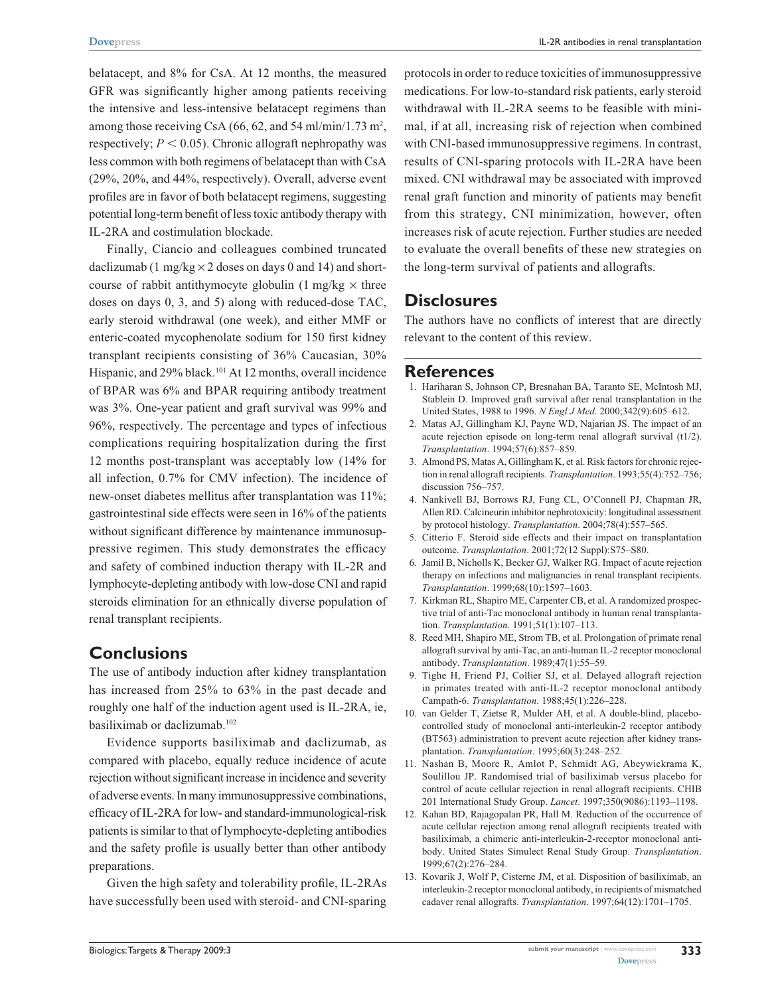belatacept, and 8% for CsA. At 12 months, the measured GFR was significantly higher among patients receiving the intensive and less-intensive belatacept regimens than among those receiving CsA  $(66, 62,$  and 54 ml/min/1.73 m<sup>2</sup>, respectively;  $P < 0.05$ ). Chronic allograft nephropathy was less common with both regimens of belatacept than with CsA (29%, 20%, and 44%, respectively). Overall, adverse event profiles are in favor of both belatacept regimens, suggesting potential long-term benefit of less toxic antibody therapy with IL-2RA and costimulation blockade.

Finally, Ciancio and colleagues combined truncated daclizumab (1 mg/kg  $\times$  2 doses on days 0 and 14) and shortcourse of rabbit antithymocyte globulin  $(1 \text{ mg/kg} \times \text{three}$ doses on days 0, 3, and 5) along with reduced-dose TAC, early steroid withdrawal (one week), and either MMF or enteric-coated mycophenolate sodium for 150 first kidney transplant recipients consisting of 36% Caucasian, 30% Hispanic, and 29% black.<sup>101</sup> At 12 months, overall incidence of BPAR was 6% and BPAR requiring antibody treatment was 3%. One-year patient and graft survival was 99% and 96%, respectively. The percentage and types of infectious complications requiring hospitalization during the first 12 months post-transplant was acceptably low (14% for all infection, 0.7% for CMV infection). The incidence of new-onset diabetes mellitus after transplantation was 11%; gastrointestinal side effects were seen in 16% of the patients without significant difference by maintenance immunosuppressive regimen. This study demonstrates the efficacy and safety of combined induction therapy with IL-2R and lymphocyte-depleting antibody with low-dose CNI and rapid steroids elimination for an ethnically diverse population of renal transplant recipients.

## **Conclusions**

The use of antibody induction after kidney transplantation has increased from 25% to 63% in the past decade and roughly one half of the induction agent used is IL-2RA, ie, basiliximab or daclizumab.102

Evidence supports basiliximab and daclizumab, as compared with placebo, equally reduce incidence of acute rejection without significant increase in incidence and severity of adverse events. In many immunosuppressive combinations, efficacy of IL-2RA for low- and standard-immunological-risk patients is similar to that of lymphocyte-depleting antibodies and the safety profile is usually better than other antibody preparations.

Given the high safety and tolerability profile, IL-2RAs have successfully been used with steroid- and CNI-sparing protocols in order to reduce toxicities of immunosuppressive medications. For low-to-standard risk patients, early steroid withdrawal with IL-2RA seems to be feasible with minimal, if at all, increasing risk of rejection when combined with CNI-based immunosuppressive regimens. In contrast, results of CNI-sparing protocols with IL-2RA have been mixed. CNI withdrawal may be associated with improved renal graft function and minority of patients may benefit from this strategy, CNI minimization, however, often increases risk of acute rejection. Further studies are needed to evaluate the overall benefits of these new strategies on the long-term survival of patients and allografts.

#### **Disclosures**

The authors have no conflicts of interest that are directly relevant to the content of this review.

#### **References**

- 1. Hariharan S, Johnson CP, Bresnahan BA, Taranto SE, McIntosh MJ, Stablein D. Improved graft survival after renal transplantation in the United States, 1988 to 1996. *N Engl J Med*. 2000;342(9):605–612.
- 2. Matas AJ, Gillingham KJ, Payne WD, Najarian JS. The impact of an acute rejection episode on long-term renal allograft survival (t1/2). *Transplantation*. 1994;57(6):857–859.
- 3. Almond PS, Matas A, Gillingham K, et al. Risk factors for chronic rejection in renal allograft recipients. *Transplantation*. 1993;55(4):752–756; discussion 756–757.
- 4. Nankivell BJ, Borrows RJ, Fung CL, O'Connell PJ, Chapman JR, Allen RD. Calcineurin inhibitor nephrotoxicity: longitudinal assessment by protocol histology. *Transplantation*. 2004;78(4):557–565.
- 5. Citterio F. Steroid side effects and their impact on transplantation outcome. *Transplantation*. 2001;72(12 Suppl):S75–S80.
- 6. Jamil B, Nicholls K, Becker GJ, Walker RG. Impact of acute rejection therapy on infections and malignancies in renal transplant recipients. *Transplantation*. 1999;68(10):1597–1603.
- 7. Kirkman RL, Shapiro ME, Carpenter CB, et al. A randomized prospective trial of anti-Tac monoclonal antibody in human renal transplantation. *Transplantation*. 1991;51(1):107–113.
- 8. Reed MH, Shapiro ME, Strom TB, et al. Prolongation of primate renal allograft survival by anti-Tac, an anti-human IL-2 receptor monoclonal antibody. *Transplantation*. 1989;47(1):55–59.
- 9. Tighe H, Friend PJ, Collier SJ, et al. Delayed allograft rejection in primates treated with anti-IL-2 receptor monoclonal antibody Campath-6. *Transplantation*. 1988;45(1):226–228.
- 10. van Gelder T, Zietse R, Mulder AH, et al. A double-blind, placebocontrolled study of monoclonal anti-interleukin-2 receptor antibody (BT563) administration to prevent acute rejection after kidney transplantation. *Transplantation*. 1995;60(3):248–252.
- 11. Nashan B, Moore R, Amlot P, Schmidt AG, Abeywickrama K, Soulillou JP. Randomised trial of basiliximab versus placebo for control of acute cellular rejection in renal allograft recipients. CHIB 201 International Study Group. *Lancet*. 1997;350(9086):1193–1198.
- 12. Kahan BD, Rajagopalan PR, Hall M. Reduction of the occurrence of acute cellular rejection among renal allograft recipients treated with basiliximab, a chimeric anti-interleukin-2-receptor monoclonal antibody. United States Simulect Renal Study Group. *Transplantation*. 1999;67(2):276–284.
- 13. Kovarik J, Wolf P, Cisterne JM, et al. Disposition of basiliximab, an interleukin-2 receptor monoclonal antibody, in recipients of mismatched cadaver renal allografts. *Transplantation*. 1997;64(12):1701–1705.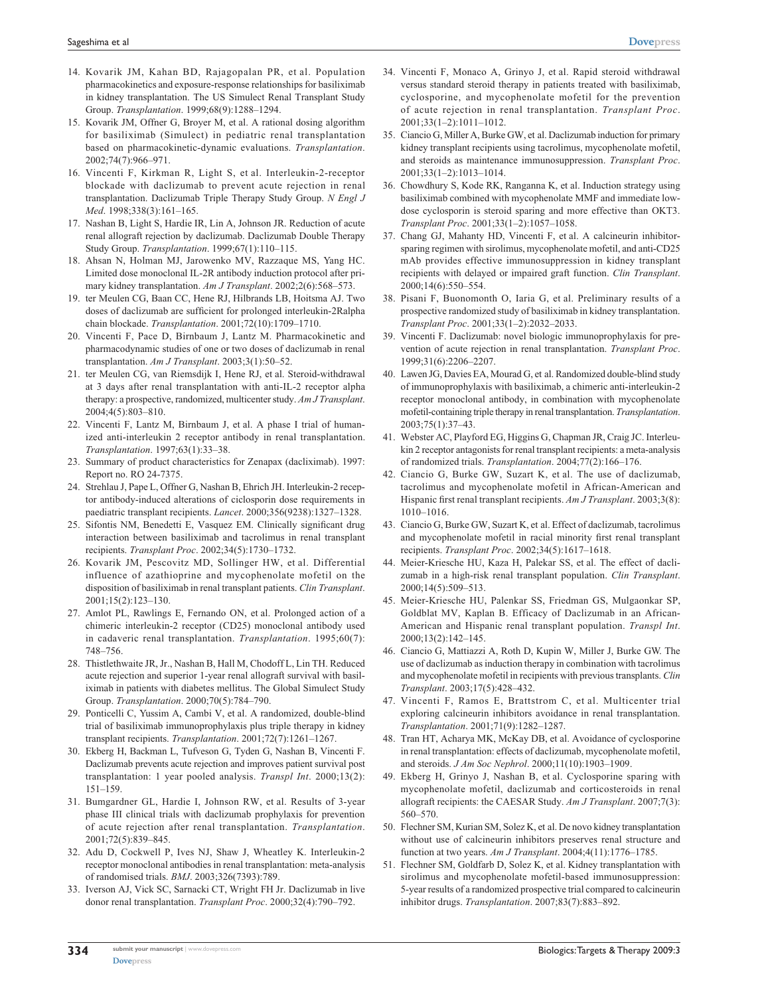- 14. Kovarik JM, Kahan BD, Rajagopalan PR, et al. Population pharmacokinetics and exposure-response relationships for basiliximab in kidney transplantation. The US Simulect Renal Transplant Study Group. *Transplantation*. 1999;68(9):1288–1294.
- 15. Kovarik JM, Offner G, Broyer M, et al. A rational dosing algorithm for basiliximab (Simulect) in pediatric renal transplantation based on pharmacokinetic-dynamic evaluations. *Transplantation*. 2002;74(7):966–971.
- 16. Vincenti F, Kirkman R, Light S, et al. Interleukin-2-receptor blockade with daclizumab to prevent acute rejection in renal transplantation. Daclizumab Triple Therapy Study Group. *N Engl J Med*. 1998;338(3):161–165.
- 17. Nashan B, Light S, Hardie IR, Lin A, Johnson JR. Reduction of acute renal allograft rejection by daclizumab. Daclizumab Double Therapy Study Group. *Transplantation*. 1999;67(1):110–115.
- 18. Ahsan N, Holman MJ, Jarowenko MV, Razzaque MS, Yang HC. Limited dose monoclonal IL-2R antibody induction protocol after primary kidney transplantation. *Am J Transplant*. 2002;2(6):568–573.
- 19. ter Meulen CG, Baan CC, Hene RJ, Hilbrands LB, Hoitsma AJ. Two doses of daclizumab are sufficient for prolonged interleukin-2Ralpha chain blockade. *Transplantation*. 2001;72(10):1709–1710.
- 20. Vincenti F, Pace D, Birnbaum J, Lantz M. Pharmacokinetic and pharmacodynamic studies of one or two doses of daclizumab in renal transplantation. *Am J Transplant*. 2003;3(1):50–52.
- 21. ter Meulen CG, van Riemsdijk I, Hene RJ, et al. Steroid-withdrawal at 3 days after renal transplantation with anti-IL-2 receptor alpha therapy: a prospective, randomized, multicenter study. *Am J Transplant*. 2004;4(5):803–810.
- 22. Vincenti F, Lantz M, Birnbaum J, et al. A phase I trial of humanized anti-interleukin 2 receptor antibody in renal transplantation. *Transplantation*. 1997;63(1):33–38.
- 23. Summary of product characteristics for Zenapax (dacliximab). 1997: Report no. RO 24-7375.
- 24. Strehlau J, Pape L, Offner G, Nashan B, Ehrich JH. Interleukin-2 receptor antibody-induced alterations of ciclosporin dose requirements in paediatric transplant recipients. *Lancet*. 2000;356(9238):1327–1328.
- 25. Sifontis NM, Benedetti E, Vasquez EM. Clinically significant drug interaction between basiliximab and tacrolimus in renal transplant recipients. *Transplant Proc*. 2002;34(5):1730–1732.
- 26. Kovarik JM, Pescovitz MD, Sollinger HW, et al. Differential influence of azathioprine and mycophenolate mofetil on the disposition of basiliximab in renal transplant patients. *Clin Transplant*. 2001;15(2):123–130.
- 27. Amlot PL, Rawlings E, Fernando ON, et al. Prolonged action of a chimeric interleukin-2 receptor (CD25) monoclonal antibody used in cadaveric renal transplantation. *Transplantation*. 1995;60(7): 748–756.
- 28. Thistlethwaite JR, Jr., Nashan B, Hall M, Chodoff L, Lin TH. Reduced acute rejection and superior 1-year renal allograft survival with basiliximab in patients with diabetes mellitus. The Global Simulect Study Group. *Transplantation*. 2000;70(5):784–790.
- 29. Ponticelli C, Yussim A, Cambi V, et al. A randomized, double-blind trial of basiliximab immunoprophylaxis plus triple therapy in kidney transplant recipients. *Transplantation*. 2001;72(7):1261–1267.
- 30. Ekberg H, Backman L, Tufveson G, Tyden G, Nashan B, Vincenti F. Daclizumab prevents acute rejection and improves patient survival post transplantation: 1 year pooled analysis. *Transpl Int*. 2000;13(2): 151–159.
- 31. Bumgardner GL, Hardie I, Johnson RW, et al. Results of 3-year phase III clinical trials with daclizumab prophylaxis for prevention of acute rejection after renal transplantation. *Transplantation*. 2001;72(5):839–845.
- 32. Adu D, Cockwell P, Ives NJ, Shaw J, Wheatley K. Interleukin-2 receptor monoclonal antibodies in renal transplantation: meta-analysis of randomised trials. *BMJ*. 2003;326(7393):789.
- 33. Iverson AJ, Vick SC, Sarnacki CT, Wright FH Jr. Daclizumab in live donor renal transplantation. *Transplant Proc*. 2000;32(4):790–792.
- 34. Vincenti F, Monaco A, Grinyo J, et al. Rapid steroid withdrawal versus standard steroid therapy in patients treated with basiliximab, cyclosporine, and mycophenolate mofetil for the prevention of acute rejection in renal transplantation. *Transplant Proc*. 2001;33(1–2):1011–1012.
- 35. Ciancio G, Miller A, Burke GW, et al. Daclizumab induction for primary kidney transplant recipients using tacrolimus, mycophenolate mofetil, and steroids as maintenance immunosuppression. *Transplant Proc*. 2001;33(1–2):1013–1014.
- 36. Chowdhury S, Kode RK, Ranganna K, et al. Induction strategy using basiliximab combined with mycophenolate MMF and immediate lowdose cyclosporin is steroid sparing and more effective than OKT3. *Transplant Proc*. 2001;33(1–2):1057–1058.
- 37. Chang GJ, Mahanty HD, Vincenti F, et al. A calcineurin inhibitorsparing regimen with sirolimus, mycophenolate mofetil, and anti-CD25 mAb provides effective immunosuppression in kidney transplant recipients with delayed or impaired graft function. *Clin Transplant*. 2000;14(6):550–554.
- 38. Pisani F, Buonomonth O, Iaria G, et al. Preliminary results of a prospective randomized study of basiliximab in kidney transplantation. *Transplant Proc*. 2001;33(1–2):2032–2033.
- 39. Vincenti F. Daclizumab: novel biologic immunoprophylaxis for prevention of acute rejection in renal transplantation. *Transplant Proc*. 1999;31(6):2206–2207.
- 40. Lawen JG, Davies EA, Mourad G, et al. Randomized double-blind study of immunoprophylaxis with basiliximab, a chimeric anti-interleukin-2 receptor monoclonal antibody, in combination with mycophenolate mofetil-containing triple therapy in renal transplantation. *Transplantation*. 2003;75(1):37–43.
- 41. Webster AC, Playford EG, Higgins G, Chapman JR, Craig JC. Interleukin 2 receptor antagonists for renal transplant recipients: a meta-analysis of randomized trials. *Transplantation*. 2004;77(2):166–176.
- 42. Ciancio G, Burke GW, Suzart K, et al. The use of daclizumab, tacrolimus and mycophenolate mofetil in African-American and Hispanic first renal transplant recipients. *Am J Transplant*. 2003;3(8): 1010–1016.
- 43. Ciancio G, Burke GW, Suzart K, et al. Effect of daclizumab, tacrolimus and mycophenolate mofetil in racial minority first renal transplant recipients. *Transplant Proc*. 2002;34(5):1617–1618.
- 44. Meier-Kriesche HU, Kaza H, Palekar SS, et al. The effect of daclizumab in a high-risk renal transplant population. *Clin Transplant*. 2000;14(5):509–513.
- 45. Meier-Kriesche HU, Palenkar SS, Friedman GS, Mulgaonkar SP, Goldblat MV, Kaplan B. Efficacy of Daclizumab in an African-American and Hispanic renal transplant population. *Transpl Int*. 2000;13(2):142–145.
- 46. Ciancio G, Mattiazzi A, Roth D, Kupin W, Miller J, Burke GW. The use of daclizumab as induction therapy in combination with tacrolimus and mycophenolate mofetil in recipients with previous transplants. *Clin Transplant*. 2003;17(5):428–432.
- 47. Vincenti F, Ramos E, Brattstrom C, et al. Multicenter trial exploring calcineurin inhibitors avoidance in renal transplantation. *Transplantation*. 2001;71(9):1282–1287.
- 48. Tran HT, Acharya MK, McKay DB, et al. Avoidance of cyclosporine in renal transplantation: effects of daclizumab, mycophenolate mofetil, and steroids. *J Am Soc Nephrol*. 2000;11(10):1903–1909.
- 49. Ekberg H, Grinyo J, Nashan B, et al. Cyclosporine sparing with mycophenolate mofetil, daclizumab and corticosteroids in renal allograft recipients: the CAESAR Study. *Am J Transplant*. 2007;7(3): 560–570.
- 50. Flechner SM, Kurian SM, Solez K, et al. De novo kidney transplantation without use of calcineurin inhibitors preserves renal structure and function at two years. *Am J Transplant*. 2004;4(11):1776–1785.
- 51. Flechner SM, Goldfarb D, Solez K, et al. Kidney transplantation with sirolimus and mycophenolate mofetil-based immunosuppression: 5-year results of a randomized prospective trial compared to calcineurin inhibitor drugs. *Transplantation*. 2007;83(7):883–892.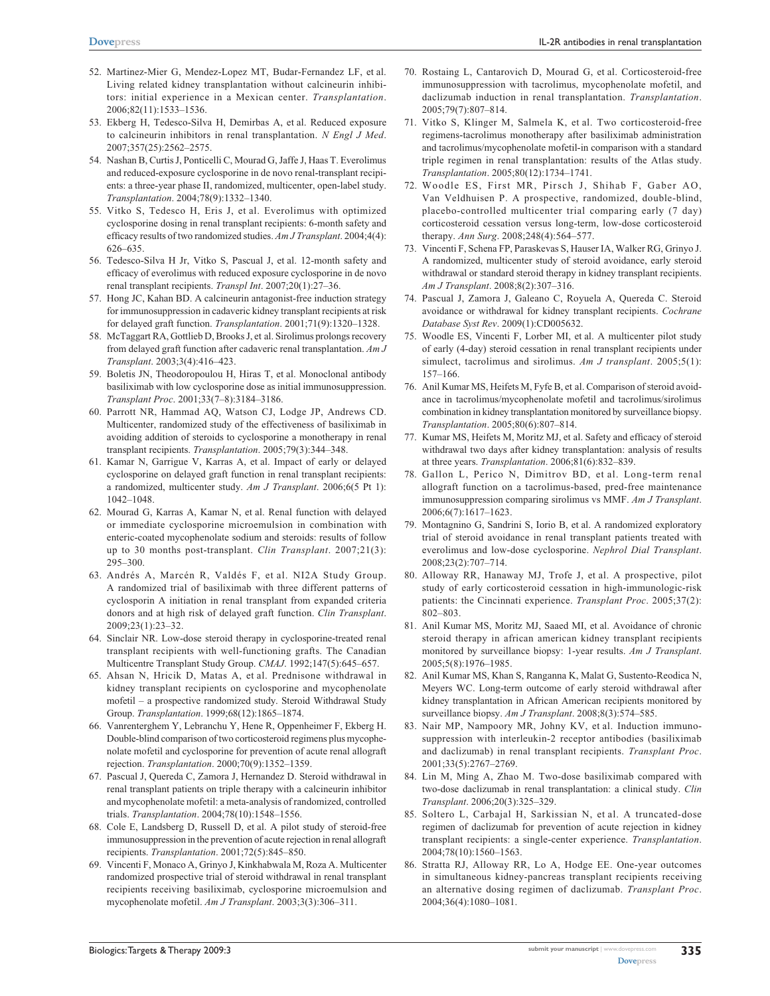- 52. Martinez-Mier G, Mendez-Lopez MT, Budar-Fernandez LF, et al. Living related kidney transplantation without calcineurin inhibitors: initial experience in a Mexican center. *Transplantation*. 2006;82(11):1533–1536.
- 53. Ekberg H, Tedesco-Silva H, Demirbas A, et al. Reduced exposure to calcineurin inhibitors in renal transplantation. *N Engl J Med*. 2007;357(25):2562–2575.
- 54. Nashan B, Curtis J, Ponticelli C, Mourad G, Jaffe J, Haas T. Everolimus and reduced-exposure cyclosporine in de novo renal-transplant recipients: a three-year phase II, randomized, multicenter, open-label study. *Transplantation*. 2004;78(9):1332–1340.
- 55. Vitko S, Tedesco H, Eris J, et al. Everolimus with optimized cyclosporine dosing in renal transplant recipients: 6-month safety and efficacy results of two randomized studies. *Am J Transplant*. 2004;4(4): 626–635.
- 56. Tedesco-Silva H Jr, Vitko S, Pascual J, et al. 12-month safety and efficacy of everolimus with reduced exposure cyclosporine in de novo renal transplant recipients. *Transpl Int*. 2007;20(1):27–36.
- 57. Hong JC, Kahan BD. A calcineurin antagonist-free induction strategy for immunosuppression in cadaveric kidney transplant recipients at risk for delayed graft function. *Transplantation*. 2001;71(9):1320–1328.
- 58. McTaggart RA, Gottlieb D, Brooks J, et al. Sirolimus prolongs recovery from delayed graft function after cadaveric renal transplantation. *Am J Transplant*. 2003;3(4):416–423.
- 59. Boletis JN, Theodoropoulou H, Hiras T, et al. Monoclonal antibody basiliximab with low cyclosporine dose as initial immunosuppression. *Transplant Proc*. 2001;33(7–8):3184–3186.
- 60. Parrott NR, Hammad AQ, Watson CJ, Lodge JP, Andrews CD. Multicenter, randomized study of the effectiveness of basiliximab in avoiding addition of steroids to cyclosporine a monotherapy in renal transplant recipients. *Transplantation*. 2005;79(3):344–348.
- 61. Kamar N, Garrigue V, Karras A, et al. Impact of early or delayed cyclosporine on delayed graft function in renal transplant recipients: a randomized, multicenter study. *Am J Transplant*. 2006;6(5 Pt 1): 1042–1048.
- 62. Mourad G, Karras A, Kamar N, et al. Renal function with delayed or immediate cyclosporine microemulsion in combination with enteric-coated mycophenolate sodium and steroids: results of follow up to 30 months post-transplant. *Clin Transplant*. 2007;21(3): 295–300.
- 63. Andrés A, Marcén R, Valdés F, et al. NI2A Study Group. A randomized trial of basiliximab with three different patterns of cyclosporin A initiation in renal transplant from expanded criteria donors and at high risk of delayed graft function. *Clin Transplant*. 2009;23(1):23–32.
- 64. Sinclair NR. Low-dose steroid therapy in cyclosporine-treated renal transplant recipients with well-functioning grafts. The Canadian Multicentre Transplant Study Group. *CMAJ*. 1992;147(5):645–657.
- 65. Ahsan N, Hricik D, Matas A, et al. Prednisone withdrawal in kidney transplant recipients on cyclosporine and mycophenolate mofetil – a prospective randomized study. Steroid Withdrawal Study Group. *Transplantation*. 1999;68(12):1865–1874.
- 66. Vanrenterghem Y, Lebranchu Y, Hene R, Oppenheimer F, Ekberg H. Double-blind comparison of two corticosteroid regimens plus mycophenolate mofetil and cyclosporine for prevention of acute renal allograft rejection. *Transplantation*. 2000;70(9):1352–1359.
- 67. Pascual J, Quereda C, Zamora J, Hernandez D. Steroid withdrawal in renal transplant patients on triple therapy with a calcineurin inhibitor and mycophenolate mofetil: a meta-analysis of randomized, controlled trials. *Transplantation*. 2004;78(10):1548–1556.
- 68. Cole E, Landsberg D, Russell D, et al. A pilot study of steroid-free immunosuppression in the prevention of acute rejection in renal allograft recipients. *Transplantation*. 2001;72(5):845–850.
- 69. Vincenti F, Monaco A, Grinyo J, Kinkhabwala M, Roza A. Multicenter randomized prospective trial of steroid withdrawal in renal transplant recipients receiving basiliximab, cyclosporine microemulsion and mycophenolate mofetil. *Am J Transplant*. 2003;3(3):306–311.
- 70. Rostaing L, Cantarovich D, Mourad G, et al. Corticosteroid-free immunosuppression with tacrolimus, mycophenolate mofetil, and daclizumab induction in renal transplantation. *Transplantation*. 2005;79(7):807–814.
- 71. Vitko S, Klinger M, Salmela K, et al. Two corticosteroid-free regimens-tacrolimus monotherapy after basiliximab administration and tacrolimus/mycophenolate mofetil-in comparison with a standard triple regimen in renal transplantation: results of the Atlas study. *Transplantation*. 2005;80(12):1734–1741.
- 72. Woodle ES, First MR, Pirsch J, Shihab F, Gaber AO, Van Veldhuisen P. A prospective, randomized, double-blind, placebo-controlled multicenter trial comparing early (7 day) corticosteroid cessation versus long-term, low-dose corticosteroid therapy. *Ann Surg*. 2008;248(4):564–577.
- 73. Vincenti F, Schena FP, Paraskevas S, Hauser IA, Walker RG, Grinyo J. A randomized, multicenter study of steroid avoidance, early steroid withdrawal or standard steroid therapy in kidney transplant recipients. *Am J Transplant*. 2008;8(2):307–316.
- 74. Pascual J, Zamora J, Galeano C, Royuela A, Quereda C. Steroid avoidance or withdrawal for kidney transplant recipients. *Cochrane Database Syst Rev*. 2009(1):CD005632.
- 75. Woodle ES, Vincenti F, Lorber MI, et al. A multicenter pilot study of early (4-day) steroid cessation in renal transplant recipients under simulect, tacrolimus and sirolimus. *Am J transplant*. 2005;5(1): 157–166.
- 76. Anil Kumar MS, Heifets M, Fyfe B, et al. Comparison of steroid avoidance in tacrolimus/mycophenolate mofetil and tacrolimus/sirolimus combination in kidney transplantation monitored by surveillance biopsy. *Transplantation*. 2005;80(6):807–814.
- 77. Kumar MS, Heifets M, Moritz MJ, et al. Safety and efficacy of steroid withdrawal two days after kidney transplantation: analysis of results at three years. *Transplantation*. 2006;81(6):832–839.
- 78. Gallon L, Perico N, Dimitrov BD, et al. Long-term renal allograft function on a tacrolimus-based, pred-free maintenance immunosuppression comparing sirolimus vs MMF. *Am J Transplant*. 2006;6(7):1617–1623.
- 79. Montagnino G, Sandrini S, Iorio B, et al. A randomized exploratory trial of steroid avoidance in renal transplant patients treated with everolimus and low-dose cyclosporine. *Nephrol Dial Transplant*. 2008;23(2):707–714.
- 80. Alloway RR, Hanaway MJ, Trofe J, et al. A prospective, pilot study of early corticosteroid cessation in high-immunologic-risk patients: the Cincinnati experience. *Transplant Proc*. 2005;37(2): 802–803.
- 81. Anil Kumar MS, Moritz MJ, Saaed MI, et al. Avoidance of chronic steroid therapy in african american kidney transplant recipients monitored by surveillance biopsy: 1-year results. *Am J Transplant*. 2005;5(8):1976–1985.
- 82. Anil Kumar MS, Khan S, Ranganna K, Malat G, Sustento-Reodica N, Meyers WC. Long-term outcome of early steroid withdrawal after kidney transplantation in African American recipients monitored by surveillance biopsy. *Am J Transplant*. 2008;8(3):574–585.
- 83. Nair MP, Nampoory MR, Johny KV, et al. Induction immunosuppression with interleukin-2 receptor antibodies (basiliximab and daclizumab) in renal transplant recipients. *Transplant Proc*. 2001;33(5):2767–2769.
- 84. Lin M, Ming A, Zhao M. Two-dose basiliximab compared with two-dose daclizumab in renal transplantation: a clinical study. *Clin Transplant*. 2006;20(3):325–329.
- 85. Soltero L, Carbajal H, Sarkissian N, et al. A truncated-dose regimen of daclizumab for prevention of acute rejection in kidney transplant recipients: a single-center experience. *Transplantation*. 2004;78(10):1560–1563.
- 86. Stratta RJ, Alloway RR, Lo A, Hodge EE. One-year outcomes in simultaneous kidney-pancreas transplant recipients receiving an alternative dosing regimen of daclizumab. *Transplant Proc*. 2004;36(4):1080–1081.